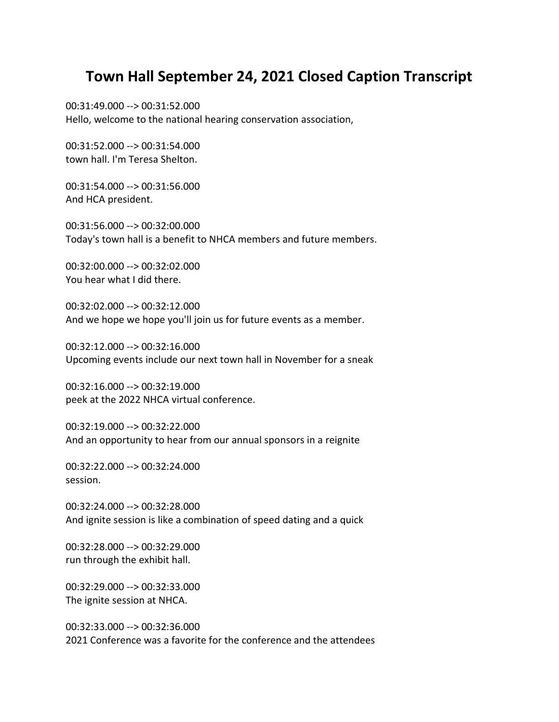## **Town Hall September 24, 2021 Closed Caption Transcript**

00:31:49.000 --> 00:31:52.000 Hello, welcome to the national hearing conservation association,

00:31:52.000 --> 00:31:54.000 town hall. I'm Teresa Shelton.

00:31:54.000 --> 00:31:56.000 And HCA president.

00:31:56.000 --> 00:32:00.000 Today's town hall is a benefit to NHCA members and future members.

00:32:00.000 --> 00:32:02.000 You hear what I did there.

00:32:02.000 --> 00:32:12.000 And we hope we hope you'll join us for future events as a member.

00:32:12.000 --> 00:32:16.000 Upcoming events include our next town hall in November for a sneak

00:32:16.000 --> 00:32:19.000 peek at the 2022 NHCA virtual conference.

00:32:19.000 --> 00:32:22.000 And an opportunity to hear from our annual sponsors in a reignite

00:32:22.000 --> 00:32:24.000 session.

00:32:24.000 --> 00:32:28.000 And ignite session is like a combination of speed dating and a quick

00:32:28.000 --> 00:32:29.000 run through the exhibit hall.

00:32:29.000 --> 00:32:33.000 The ignite session at NHCA.

00:32:33.000 --> 00:32:36.000 2021 Conference was a favorite for the conference and the attendees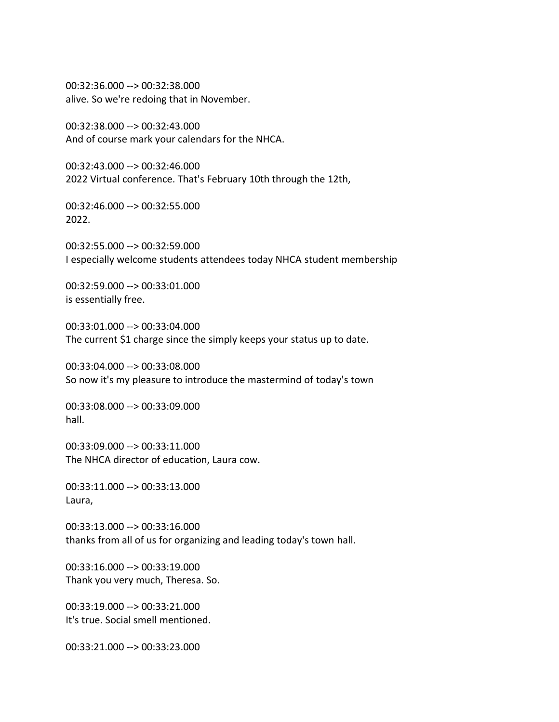00:32:36.000 --> 00:32:38.000 alive. So we're redoing that in November.

00:32:38.000 --> 00:32:43.000 And of course mark your calendars for the NHCA.

00:32:43.000 --> 00:32:46.000 2022 Virtual conference. That's February 10th through the 12th,

00:32:46.000 --> 00:32:55.000 2022.

00:32:55.000 --> 00:32:59.000 I especially welcome students attendees today NHCA student membership

00:32:59.000 --> 00:33:01.000 is essentially free.

00:33:01.000 --> 00:33:04.000 The current \$1 charge since the simply keeps your status up to date.

00:33:04.000 --> 00:33:08.000 So now it's my pleasure to introduce the mastermind of today's town

00:33:08.000 --> 00:33:09.000 hall.

00:33:09.000 --> 00:33:11.000 The NHCA director of education, Laura cow.

00:33:11.000 --> 00:33:13.000 Laura,

00:33:13.000 --> 00:33:16.000 thanks from all of us for organizing and leading today's town hall.

00:33:16.000 --> 00:33:19.000 Thank you very much, Theresa. So.

00:33:19.000 --> 00:33:21.000 It's true. Social smell mentioned.

00:33:21.000 --> 00:33:23.000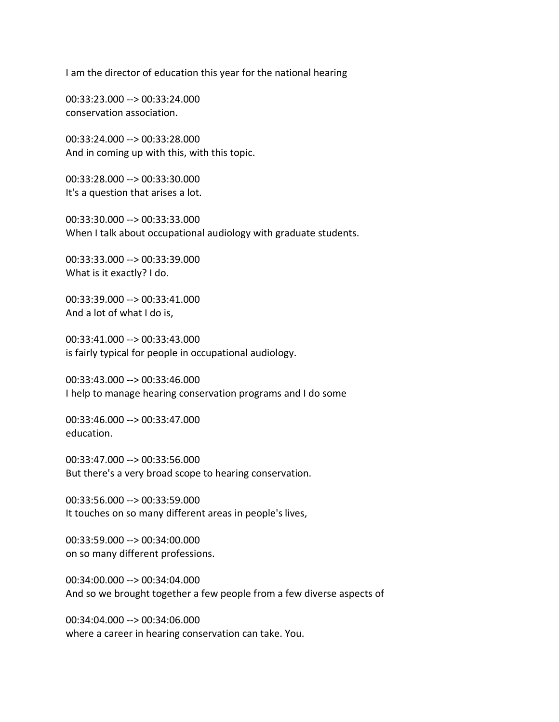I am the director of education this year for the national hearing

00:33:23.000 --> 00:33:24.000 conservation association.

00:33:24.000 --> 00:33:28.000 And in coming up with this, with this topic.

00:33:28.000 --> 00:33:30.000 It's a question that arises a lot.

00:33:30.000 --> 00:33:33.000 When I talk about occupational audiology with graduate students.

00:33:33.000 --> 00:33:39.000 What is it exactly? I do.

00:33:39.000 --> 00:33:41.000 And a lot of what I do is,

00:33:41.000 --> 00:33:43.000 is fairly typical for people in occupational audiology.

00:33:43.000 --> 00:33:46.000 I help to manage hearing conservation programs and I do some

00:33:46.000 --> 00:33:47.000 education.

00:33:47.000 --> 00:33:56.000 But there's a very broad scope to hearing conservation.

00:33:56.000 --> 00:33:59.000 It touches on so many different areas in people's lives,

00:33:59.000 --> 00:34:00.000 on so many different professions.

00:34:00.000 --> 00:34:04.000 And so we brought together a few people from a few diverse aspects of

00:34:04.000 --> 00:34:06.000 where a career in hearing conservation can take. You.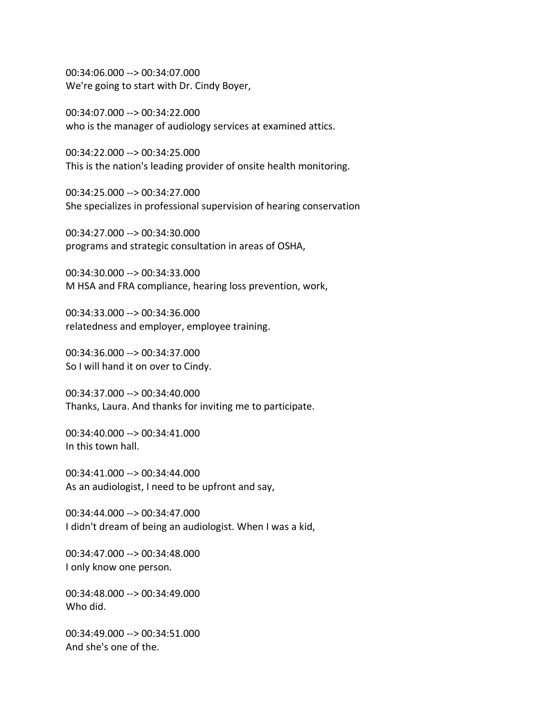00:34:06.000 --> 00:34:07.000 We're going to start with Dr. Cindy Boyer,

00:34:07.000 --> 00:34:22.000 who is the manager of audiology services at examined attics.

00:34:22.000 --> 00:34:25.000 This is the nation's leading provider of onsite health monitoring.

00:34:25.000 --> 00:34:27.000 She specializes in professional supervision of hearing conservation

00:34:27.000 --> 00:34:30.000 programs and strategic consultation in areas of OSHA,

00:34:30.000 --> 00:34:33.000 M HSA and FRA compliance, hearing loss prevention, work,

00:34:33.000 --> 00:34:36.000 relatedness and employer, employee training.

00:34:36.000 --> 00:34:37.000 So I will hand it on over to Cindy.

00:34:37.000 --> 00:34:40.000 Thanks, Laura. And thanks for inviting me to participate.

00:34:40.000 --> 00:34:41.000 In this town hall.

00:34:41.000 --> 00:34:44.000 As an audiologist, I need to be upfront and say,

00:34:44.000 --> 00:34:47.000 I didn't dream of being an audiologist. When I was a kid,

00:34:47.000 --> 00:34:48.000 I only know one person.

00:34:48.000 --> 00:34:49.000 Who did.

00:34:49.000 --> 00:34:51.000 And she's one of the.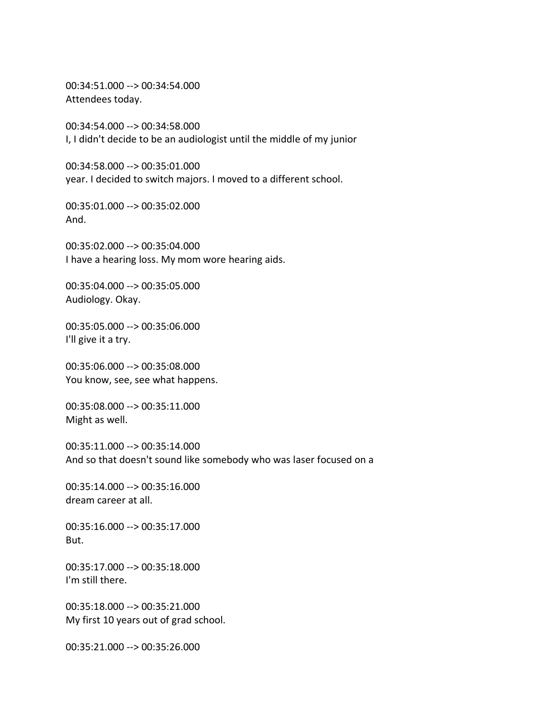00:34:51.000 --> 00:34:54.000 Attendees today.

00:34:54.000 --> 00:34:58.000 I, I didn't decide to be an audiologist until the middle of my junior

00:34:58.000 --> 00:35:01.000 year. I decided to switch majors. I moved to a different school.

00:35:01.000 --> 00:35:02.000 And.

00:35:02.000 --> 00:35:04.000 I have a hearing loss. My mom wore hearing aids.

00:35:04.000 --> 00:35:05.000 Audiology. Okay.

00:35:05.000 --> 00:35:06.000 I'll give it a try.

00:35:06.000 --> 00:35:08.000 You know, see, see what happens.

00:35:08.000 --> 00:35:11.000 Might as well.

00:35:11.000 --> 00:35:14.000 And so that doesn't sound like somebody who was laser focused on a

00:35:14.000 --> 00:35:16.000 dream career at all.

00:35:16.000 --> 00:35:17.000 But.

00:35:17.000 --> 00:35:18.000 I'm still there.

00:35:18.000 --> 00:35:21.000 My first 10 years out of grad school.

00:35:21.000 --> 00:35:26.000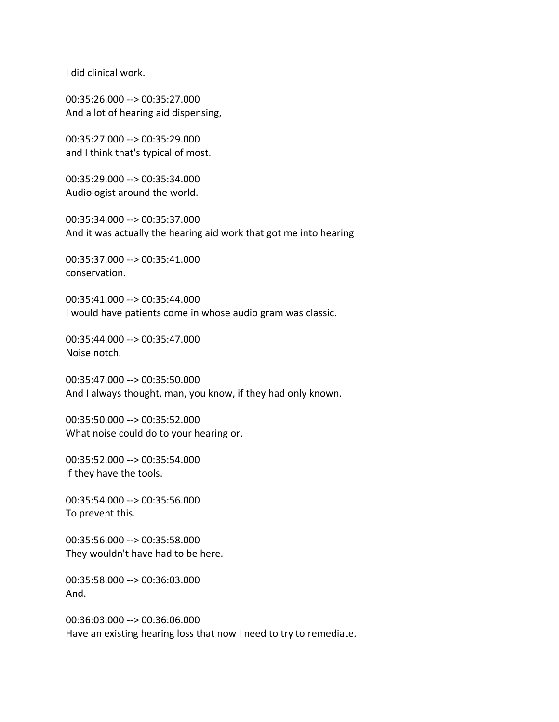I did clinical work.

00:35:26.000 --> 00:35:27.000 And a lot of hearing aid dispensing,

00:35:27.000 --> 00:35:29.000 and I think that's typical of most.

00:35:29.000 --> 00:35:34.000 Audiologist around the world.

00:35:34.000 --> 00:35:37.000 And it was actually the hearing aid work that got me into hearing

00:35:37.000 --> 00:35:41.000 conservation.

00:35:41.000 --> 00:35:44.000 I would have patients come in whose audio gram was classic.

00:35:44.000 --> 00:35:47.000 Noise notch.

00:35:47.000 --> 00:35:50.000 And I always thought, man, you know, if they had only known.

00:35:50.000 --> 00:35:52.000 What noise could do to your hearing or.

00:35:52.000 --> 00:35:54.000 If they have the tools.

00:35:54.000 --> 00:35:56.000 To prevent this.

00:35:56.000 --> 00:35:58.000 They wouldn't have had to be here.

00:35:58.000 --> 00:36:03.000 And.

00:36:03.000 --> 00:36:06.000 Have an existing hearing loss that now I need to try to remediate.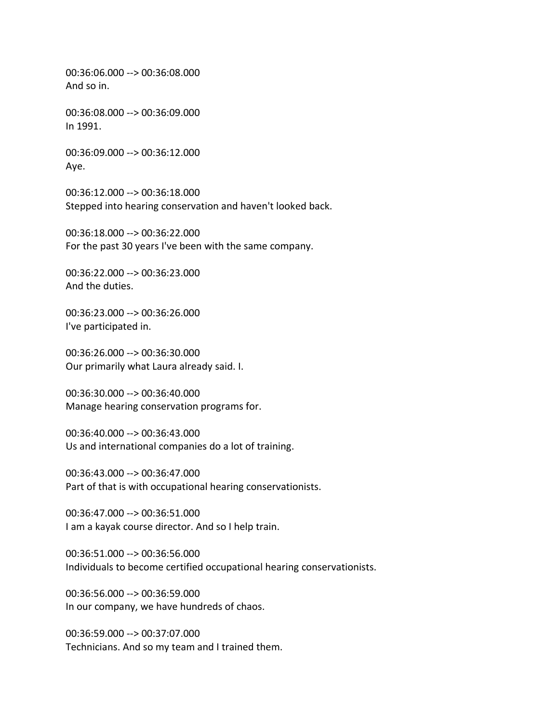00:36:06.000 --> 00:36:08.000 And so in.

00:36:08.000 --> 00:36:09.000 In 1991.

00:36:09.000 --> 00:36:12.000 Aye.

00:36:12.000 --> 00:36:18.000 Stepped into hearing conservation and haven't looked back.

00:36:18.000 --> 00:36:22.000 For the past 30 years I've been with the same company.

00:36:22.000 --> 00:36:23.000 And the duties.

00:36:23.000 --> 00:36:26.000 I've participated in.

00:36:26.000 --> 00:36:30.000 Our primarily what Laura already said. I.

00:36:30.000 --> 00:36:40.000 Manage hearing conservation programs for.

00:36:40.000 --> 00:36:43.000 Us and international companies do a lot of training.

00:36:43.000 --> 00:36:47.000 Part of that is with occupational hearing conservationists.

00:36:47.000 --> 00:36:51.000 I am a kayak course director. And so I help train.

00:36:51.000 --> 00:36:56.000 Individuals to become certified occupational hearing conservationists.

00:36:56.000 --> 00:36:59.000 In our company, we have hundreds of chaos.

00:36:59.000 --> 00:37:07.000 Technicians. And so my team and I trained them.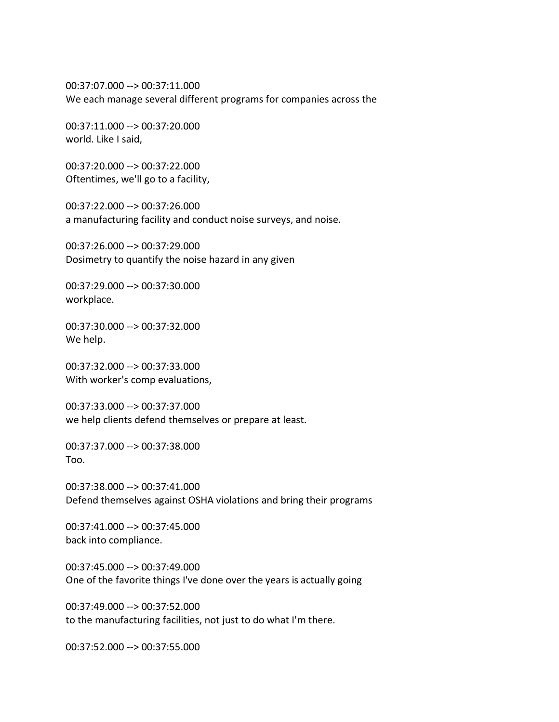00:37:07.000 --> 00:37:11.000 We each manage several different programs for companies across the

00:37:11.000 --> 00:37:20.000 world. Like I said,

00:37:20.000 --> 00:37:22.000 Oftentimes, we'll go to a facility,

00:37:22.000 --> 00:37:26.000 a manufacturing facility and conduct noise surveys, and noise.

00:37:26.000 --> 00:37:29.000 Dosimetry to quantify the noise hazard in any given

00:37:29.000 --> 00:37:30.000 workplace.

00:37:30.000 --> 00:37:32.000 We help.

00:37:32.000 --> 00:37:33.000 With worker's comp evaluations,

00:37:33.000 --> 00:37:37.000 we help clients defend themselves or prepare at least.

00:37:37.000 --> 00:37:38.000 Too.

00:37:38.000 --> 00:37:41.000 Defend themselves against OSHA violations and bring their programs

00:37:41.000 --> 00:37:45.000 back into compliance.

00:37:45.000 --> 00:37:49.000 One of the favorite things I've done over the years is actually going

00:37:49.000 --> 00:37:52.000 to the manufacturing facilities, not just to do what I'm there.

00:37:52.000 --> 00:37:55.000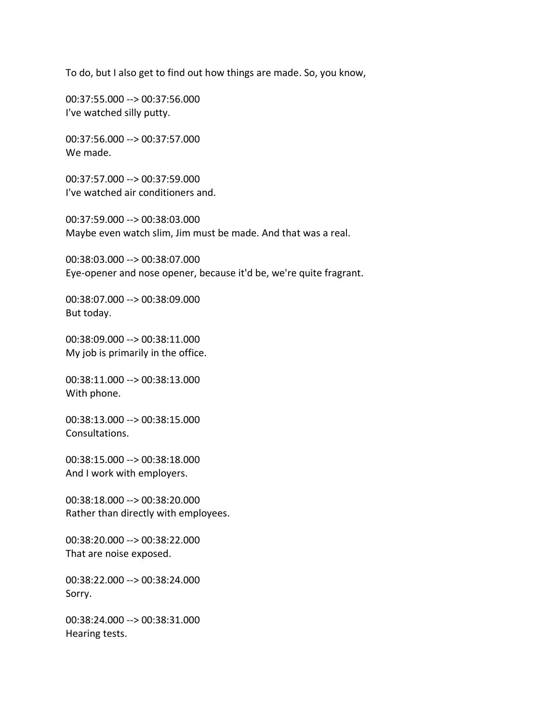To do, but I also get to find out how things are made. So, you know,

00:37:55.000 --> 00:37:56.000 I've watched silly putty.

00:37:56.000 --> 00:37:57.000 We made.

00:37:57.000 --> 00:37:59.000 I've watched air conditioners and.

00:37:59.000 --> 00:38:03.000 Maybe even watch slim, Jim must be made. And that was a real.

00:38:03.000 --> 00:38:07.000 Eye-opener and nose opener, because it'd be, we're quite fragrant.

00:38:07.000 --> 00:38:09.000 But today.

00:38:09.000 --> 00:38:11.000 My job is primarily in the office.

00:38:11.000 --> 00:38:13.000 With phone.

00:38:13.000 --> 00:38:15.000 Consultations.

00:38:15.000 --> 00:38:18.000 And I work with employers.

00:38:18.000 --> 00:38:20.000 Rather than directly with employees.

00:38:20.000 --> 00:38:22.000 That are noise exposed.

00:38:22.000 --> 00:38:24.000 Sorry.

00:38:24.000 --> 00:38:31.000 Hearing tests.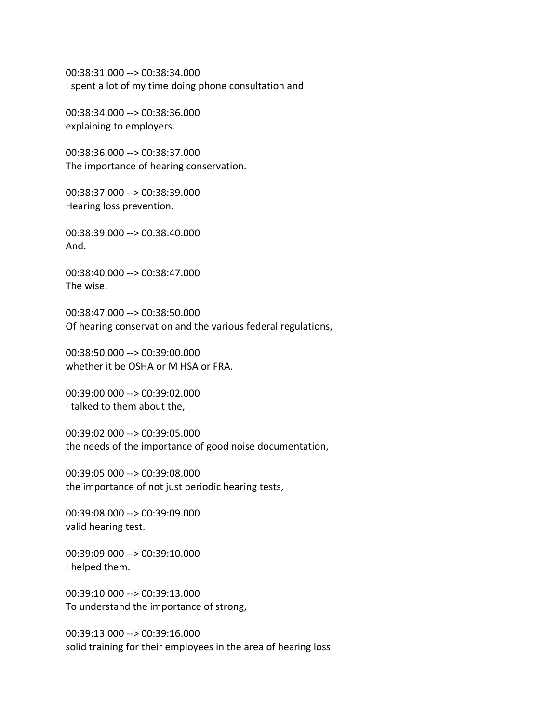00:38:31.000 --> 00:38:34.000 I spent a lot of my time doing phone consultation and

00:38:34.000 --> 00:38:36.000 explaining to employers.

00:38:36.000 --> 00:38:37.000 The importance of hearing conservation.

00:38:37.000 --> 00:38:39.000 Hearing loss prevention.

00:38:39.000 --> 00:38:40.000 And.

00:38:40.000 --> 00:38:47.000 The wise.

00:38:47.000 --> 00:38:50.000 Of hearing conservation and the various federal regulations,

00:38:50.000 --> 00:39:00.000 whether it be OSHA or M HSA or FRA.

00:39:00.000 --> 00:39:02.000 I talked to them about the,

00:39:02.000 --> 00:39:05.000 the needs of the importance of good noise documentation,

00:39:05.000 --> 00:39:08.000 the importance of not just periodic hearing tests,

00:39:08.000 --> 00:39:09.000 valid hearing test.

00:39:09.000 --> 00:39:10.000 I helped them.

00:39:10.000 --> 00:39:13.000 To understand the importance of strong,

00:39:13.000 --> 00:39:16.000 solid training for their employees in the area of hearing loss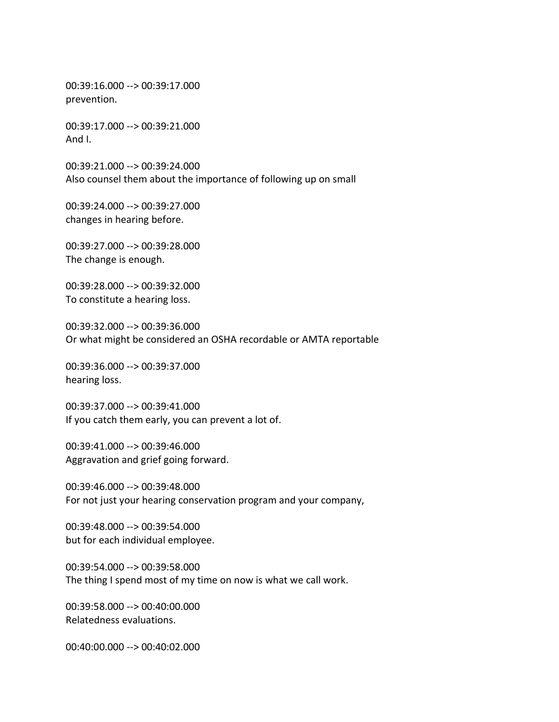00:39:16.000 --> 00:39:17.000 prevention.

00:39:17.000 --> 00:39:21.000 And I.

00:39:21.000 --> 00:39:24.000 Also counsel them about the importance of following up on small

00:39:24.000 --> 00:39:27.000 changes in hearing before.

00:39:27.000 --> 00:39:28.000 The change is enough.

00:39:28.000 --> 00:39:32.000 To constitute a hearing loss.

00:39:32.000 --> 00:39:36.000 Or what might be considered an OSHA recordable or AMTA reportable

00:39:36.000 --> 00:39:37.000 hearing loss.

00:39:37.000 --> 00:39:41.000 If you catch them early, you can prevent a lot of.

00:39:41.000 --> 00:39:46.000 Aggravation and grief going forward.

00:39:46.000 --> 00:39:48.000 For not just your hearing conservation program and your company,

00:39:48.000 --> 00:39:54.000 but for each individual employee.

00:39:54.000 --> 00:39:58.000 The thing I spend most of my time on now is what we call work.

00:39:58.000 --> 00:40:00.000 Relatedness evaluations.

00:40:00.000 --> 00:40:02.000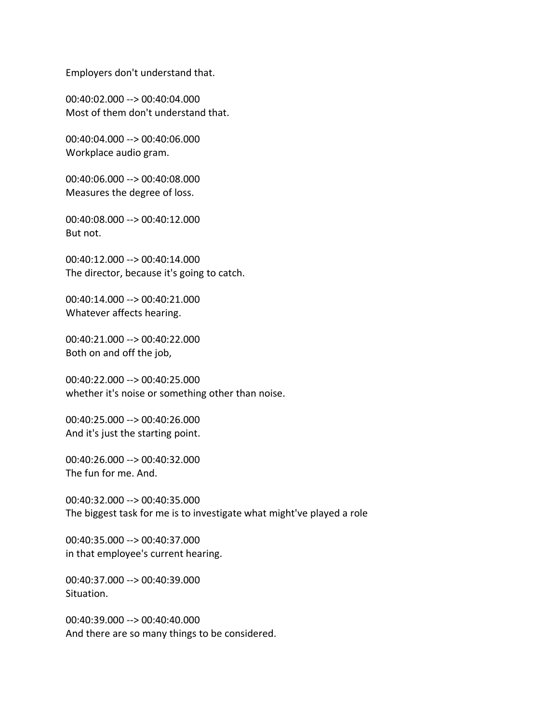Employers don't understand that.

00:40:02.000 --> 00:40:04.000 Most of them don't understand that.

00:40:04.000 --> 00:40:06.000 Workplace audio gram.

00:40:06.000 --> 00:40:08.000 Measures the degree of loss.

00:40:08.000 --> 00:40:12.000 But not.

00:40:12.000 --> 00:40:14.000 The director, because it's going to catch.

00:40:14.000 --> 00:40:21.000 Whatever affects hearing.

00:40:21.000 --> 00:40:22.000 Both on and off the job,

00:40:22.000 --> 00:40:25.000 whether it's noise or something other than noise.

00:40:25.000 --> 00:40:26.000 And it's just the starting point.

00:40:26.000 --> 00:40:32.000 The fun for me. And.

00:40:32.000 --> 00:40:35.000 The biggest task for me is to investigate what might've played a role

00:40:35.000 --> 00:40:37.000 in that employee's current hearing.

00:40:37.000 --> 00:40:39.000 Situation.

00:40:39.000 --> 00:40:40.000 And there are so many things to be considered.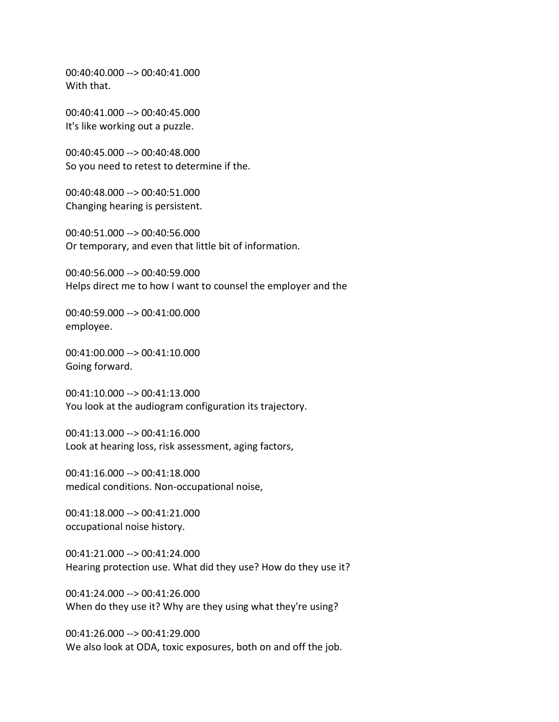00:40:40.000 --> 00:40:41.000 With that.

00:40:41.000 --> 00:40:45.000 It's like working out a puzzle.

00:40:45.000 --> 00:40:48.000 So you need to retest to determine if the.

00:40:48.000 --> 00:40:51.000 Changing hearing is persistent.

00:40:51.000 --> 00:40:56.000 Or temporary, and even that little bit of information.

00:40:56.000 --> 00:40:59.000 Helps direct me to how I want to counsel the employer and the

00:40:59.000 --> 00:41:00.000 employee.

00:41:00.000 --> 00:41:10.000 Going forward.

00:41:10.000 --> 00:41:13.000 You look at the audiogram configuration its trajectory.

00:41:13.000 --> 00:41:16.000 Look at hearing loss, risk assessment, aging factors,

00:41:16.000 --> 00:41:18.000 medical conditions. Non-occupational noise,

00:41:18.000 --> 00:41:21.000 occupational noise history.

00:41:21.000 --> 00:41:24.000 Hearing protection use. What did they use? How do they use it?

00:41:24.000 --> 00:41:26.000 When do they use it? Why are they using what they're using?

00:41:26.000 --> 00:41:29.000 We also look at ODA, toxic exposures, both on and off the job.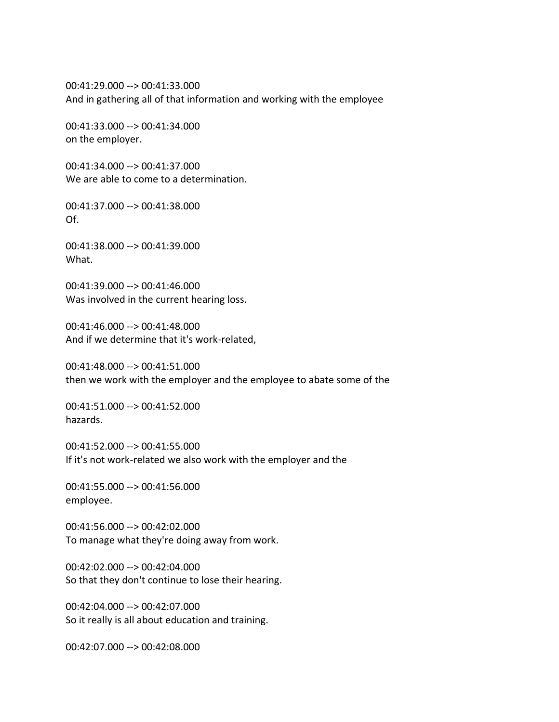00:41:29.000 --> 00:41:33.000 And in gathering all of that information and working with the employee

00:41:33.000 --> 00:41:34.000 on the employer.

00:41:34.000 --> 00:41:37.000 We are able to come to a determination.

00:41:37.000 --> 00:41:38.000 Of.

00:41:38.000 --> 00:41:39.000 What.

00:41:39.000 --> 00:41:46.000 Was involved in the current hearing loss.

00:41:46.000 --> 00:41:48.000 And if we determine that it's work-related,

00:41:48.000 --> 00:41:51.000 then we work with the employer and the employee to abate some of the

00:41:51.000 --> 00:41:52.000 hazards.

00:41:52.000 --> 00:41:55.000 If it's not work-related we also work with the employer and the

00:41:55.000 --> 00:41:56.000 employee.

00:41:56.000 --> 00:42:02.000 To manage what they're doing away from work.

00:42:02.000 --> 00:42:04.000 So that they don't continue to lose their hearing.

00:42:04.000 --> 00:42:07.000 So it really is all about education and training.

00:42:07.000 --> 00:42:08.000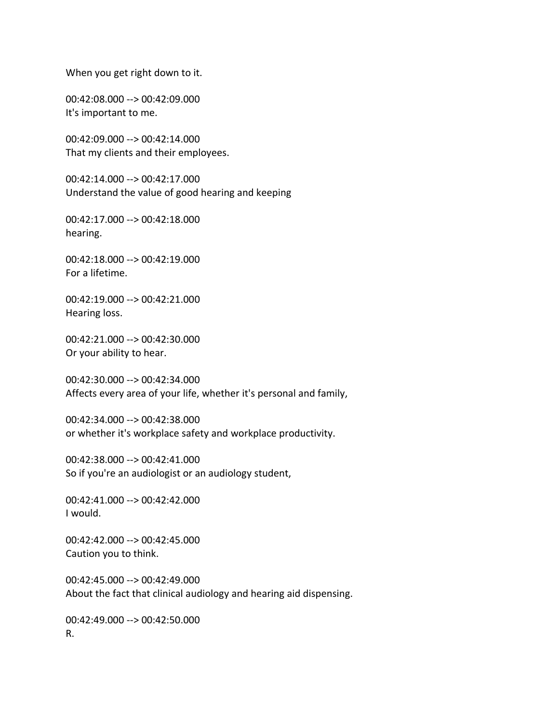When you get right down to it.

00:42:08.000 --> 00:42:09.000 It's important to me.

00:42:09.000 --> 00:42:14.000 That my clients and their employees.

00:42:14.000 --> 00:42:17.000 Understand the value of good hearing and keeping

00:42:17.000 --> 00:42:18.000 hearing.

00:42:18.000 --> 00:42:19.000 For a lifetime.

00:42:19.000 --> 00:42:21.000 Hearing loss.

00:42:21.000 --> 00:42:30.000 Or your ability to hear.

00:42:30.000 --> 00:42:34.000 Affects every area of your life, whether it's personal and family,

00:42:34.000 --> 00:42:38.000 or whether it's workplace safety and workplace productivity.

00:42:38.000 --> 00:42:41.000 So if you're an audiologist or an audiology student,

00:42:41.000 --> 00:42:42.000 I would.

00:42:42.000 --> 00:42:45.000 Caution you to think.

00:42:45.000 --> 00:42:49.000 About the fact that clinical audiology and hearing aid dispensing.

00:42:49.000 --> 00:42:50.000 R.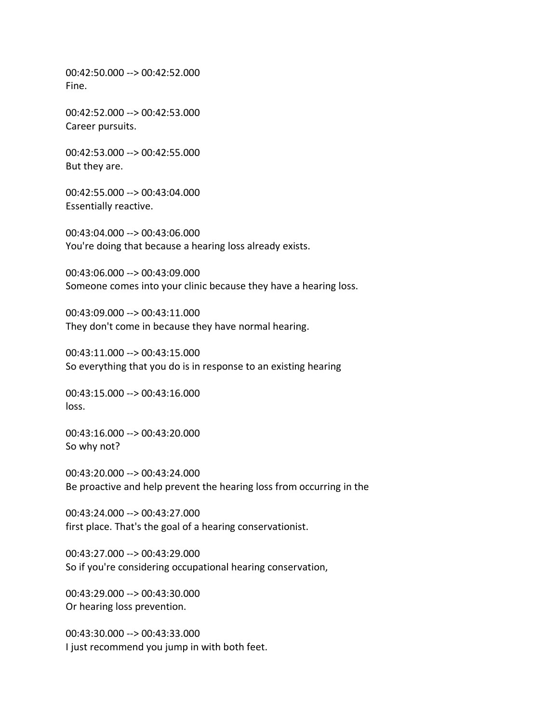00:42:50.000 --> 00:42:52.000 Fine.

00:42:52.000 --> 00:42:53.000 Career pursuits.

00:42:53.000 --> 00:42:55.000 But they are.

00:42:55.000 --> 00:43:04.000 Essentially reactive.

00:43:04.000 --> 00:43:06.000 You're doing that because a hearing loss already exists.

00:43:06.000 --> 00:43:09.000 Someone comes into your clinic because they have a hearing loss.

00:43:09.000 --> 00:43:11.000 They don't come in because they have normal hearing.

00:43:11.000 --> 00:43:15.000 So everything that you do is in response to an existing hearing

00:43:15.000 --> 00:43:16.000 loss.

00:43:16.000 --> 00:43:20.000 So why not?

00:43:20.000 --> 00:43:24.000 Be proactive and help prevent the hearing loss from occurring in the

00:43:24.000 --> 00:43:27.000 first place. That's the goal of a hearing conservationist.

00:43:27.000 --> 00:43:29.000 So if you're considering occupational hearing conservation,

00:43:29.000 --> 00:43:30.000 Or hearing loss prevention.

00:43:30.000 --> 00:43:33.000 I just recommend you jump in with both feet.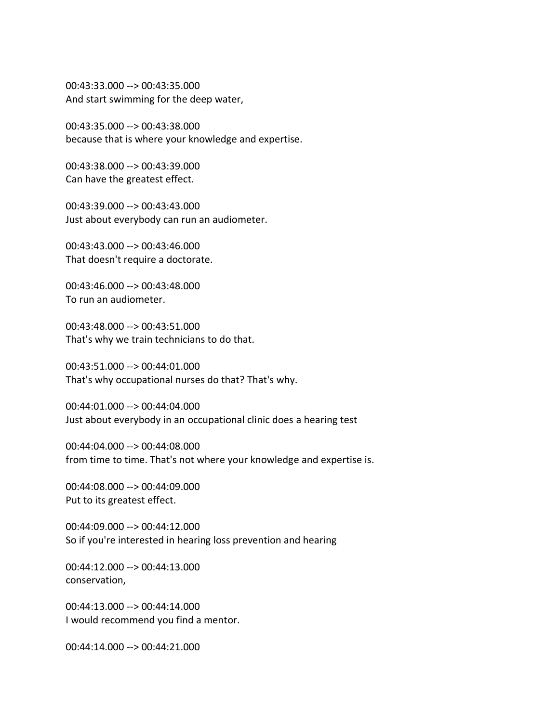00:43:33.000 --> 00:43:35.000 And start swimming for the deep water,

00:43:35.000 --> 00:43:38.000 because that is where your knowledge and expertise.

00:43:38.000 --> 00:43:39.000 Can have the greatest effect.

00:43:39.000 --> 00:43:43.000 Just about everybody can run an audiometer.

00:43:43.000 --> 00:43:46.000 That doesn't require a doctorate.

00:43:46.000 --> 00:43:48.000 To run an audiometer.

00:43:48.000 --> 00:43:51.000 That's why we train technicians to do that.

00:43:51.000 --> 00:44:01.000 That's why occupational nurses do that? That's why.

00:44:01.000 --> 00:44:04.000 Just about everybody in an occupational clinic does a hearing test

00:44:04.000 --> 00:44:08.000 from time to time. That's not where your knowledge and expertise is.

00:44:08.000 --> 00:44:09.000 Put to its greatest effect.

00:44:09.000 --> 00:44:12.000 So if you're interested in hearing loss prevention and hearing

00:44:12.000 --> 00:44:13.000 conservation,

00:44:13.000 --> 00:44:14.000 I would recommend you find a mentor.

00:44:14.000 --> 00:44:21.000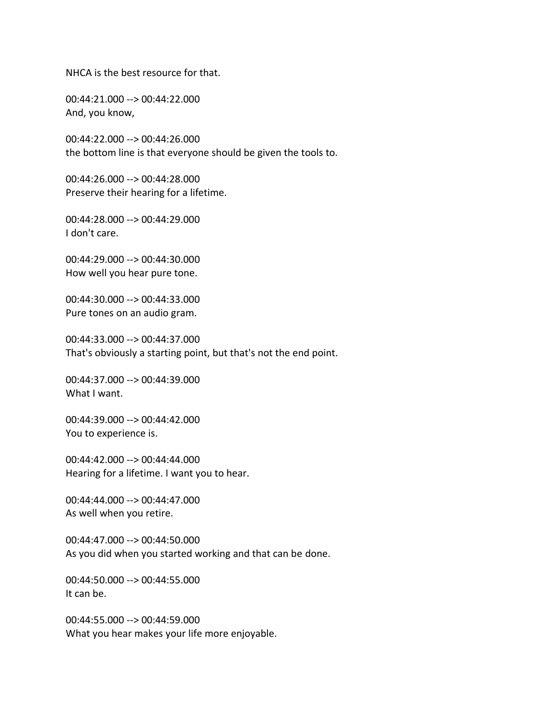NHCA is the best resource for that.

00:44:21.000 --> 00:44:22.000 And, you know,

00:44:22.000 --> 00:44:26.000 the bottom line is that everyone should be given the tools to.

00:44:26.000 --> 00:44:28.000 Preserve their hearing for a lifetime.

00:44:28.000 --> 00:44:29.000 I don't care.

00:44:29.000 --> 00:44:30.000 How well you hear pure tone.

00:44:30.000 --> 00:44:33.000 Pure tones on an audio gram.

00:44:33.000 --> 00:44:37.000 That's obviously a starting point, but that's not the end point.

00:44:37.000 --> 00:44:39.000 What I want.

00:44:39.000 --> 00:44:42.000 You to experience is.

00:44:42.000 --> 00:44:44.000 Hearing for a lifetime. I want you to hear.

00:44:44.000 --> 00:44:47.000 As well when you retire.

00:44:47.000 --> 00:44:50.000 As you did when you started working and that can be done.

00:44:50.000 --> 00:44:55.000 It can be.

00:44:55.000 --> 00:44:59.000 What you hear makes your life more enjoyable.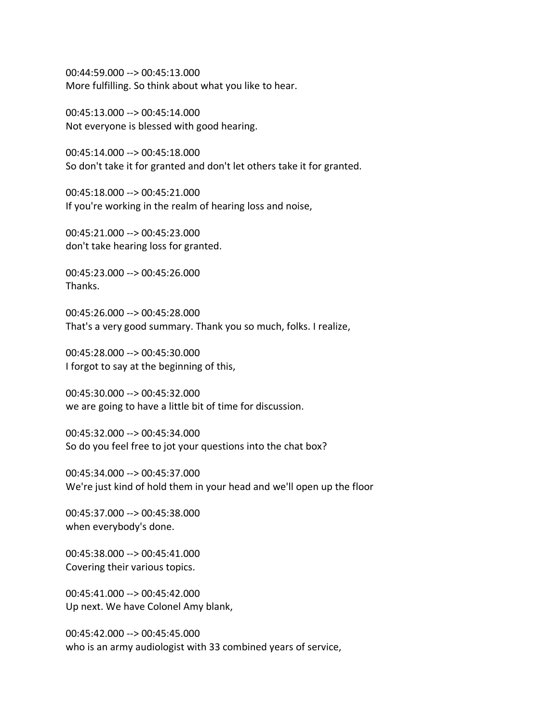00:44:59.000 --> 00:45:13.000 More fulfilling. So think about what you like to hear.

00:45:13.000 --> 00:45:14.000 Not everyone is blessed with good hearing.

00:45:14.000 --> 00:45:18.000 So don't take it for granted and don't let others take it for granted.

00:45:18.000 --> 00:45:21.000 If you're working in the realm of hearing loss and noise,

00:45:21.000 --> 00:45:23.000 don't take hearing loss for granted.

00:45:23.000 --> 00:45:26.000 Thanks.

00:45:26.000 --> 00:45:28.000 That's a very good summary. Thank you so much, folks. I realize,

00:45:28.000 --> 00:45:30.000 I forgot to say at the beginning of this,

00:45:30.000 --> 00:45:32.000 we are going to have a little bit of time for discussion.

00:45:32.000 --> 00:45:34.000 So do you feel free to jot your questions into the chat box?

00:45:34.000 --> 00:45:37.000 We're just kind of hold them in your head and we'll open up the floor

00:45:37.000 --> 00:45:38.000 when everybody's done.

00:45:38.000 --> 00:45:41.000 Covering their various topics.

00:45:41.000 --> 00:45:42.000 Up next. We have Colonel Amy blank,

00:45:42.000 --> 00:45:45.000 who is an army audiologist with 33 combined years of service,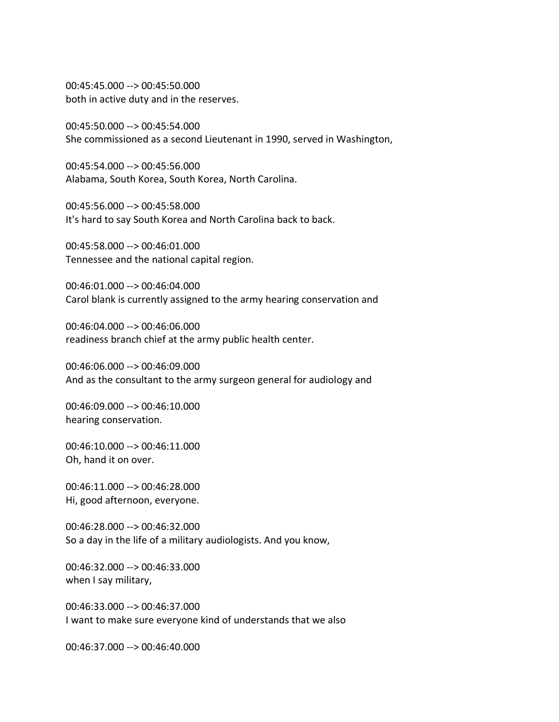00:45:45.000 --> 00:45:50.000 both in active duty and in the reserves.

00:45:50.000 --> 00:45:54.000 She commissioned as a second Lieutenant in 1990, served in Washington,

00:45:54.000 --> 00:45:56.000 Alabama, South Korea, South Korea, North Carolina.

00:45:56.000 --> 00:45:58.000 It's hard to say South Korea and North Carolina back to back.

00:45:58.000 --> 00:46:01.000 Tennessee and the national capital region.

00:46:01.000 --> 00:46:04.000 Carol blank is currently assigned to the army hearing conservation and

00:46:04.000 --> 00:46:06.000 readiness branch chief at the army public health center.

00:46:06.000 --> 00:46:09.000 And as the consultant to the army surgeon general for audiology and

00:46:09.000 --> 00:46:10.000 hearing conservation.

00:46:10.000 --> 00:46:11.000 Oh, hand it on over.

00:46:11.000 --> 00:46:28.000 Hi, good afternoon, everyone.

00:46:28.000 --> 00:46:32.000 So a day in the life of a military audiologists. And you know,

00:46:32.000 --> 00:46:33.000 when I say military,

00:46:33.000 --> 00:46:37.000 I want to make sure everyone kind of understands that we also

00:46:37.000 --> 00:46:40.000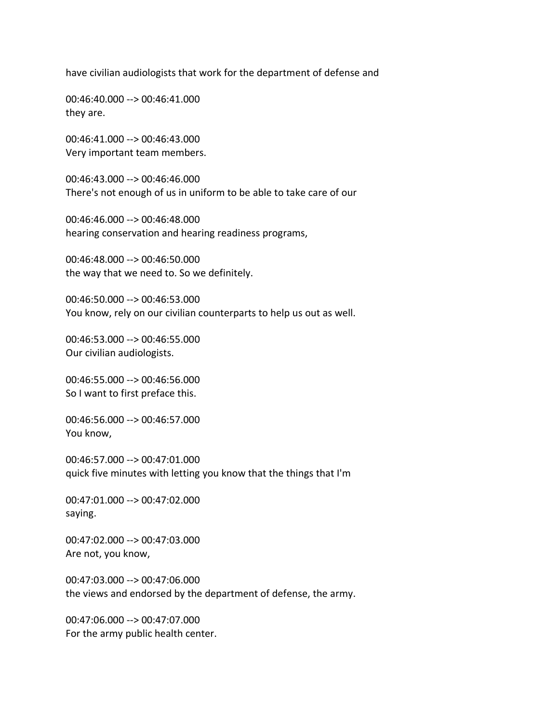have civilian audiologists that work for the department of defense and

00:46:40.000 --> 00:46:41.000 they are.

00:46:41.000 --> 00:46:43.000 Very important team members.

00:46:43.000 --> 00:46:46.000 There's not enough of us in uniform to be able to take care of our

00:46:46.000 --> 00:46:48.000 hearing conservation and hearing readiness programs,

00:46:48.000 --> 00:46:50.000 the way that we need to. So we definitely.

00:46:50.000 --> 00:46:53.000 You know, rely on our civilian counterparts to help us out as well.

00:46:53.000 --> 00:46:55.000 Our civilian audiologists.

00:46:55.000 --> 00:46:56.000 So I want to first preface this.

00:46:56.000 --> 00:46:57.000 You know,

00:46:57.000 --> 00:47:01.000 quick five minutes with letting you know that the things that I'm

00:47:01.000 --> 00:47:02.000 saying.

00:47:02.000 --> 00:47:03.000 Are not, you know,

00:47:03.000 --> 00:47:06.000 the views and endorsed by the department of defense, the army.

00:47:06.000 --> 00:47:07.000 For the army public health center.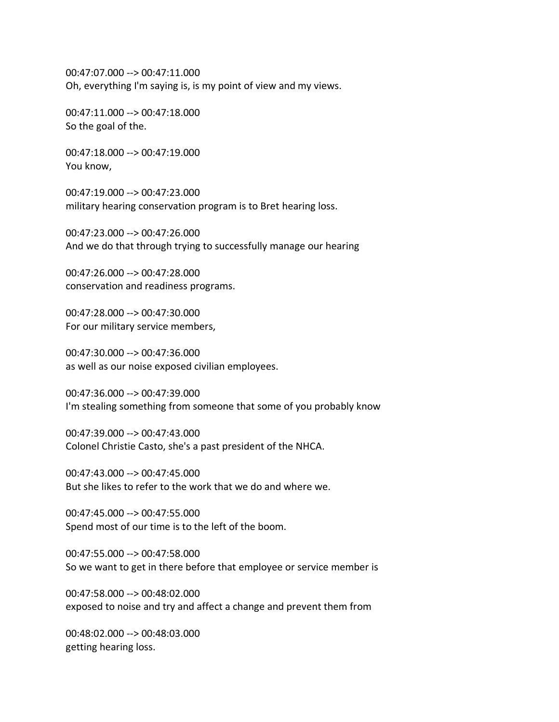00:47:07.000 --> 00:47:11.000 Oh, everything I'm saying is, is my point of view and my views.

00:47:11.000 --> 00:47:18.000 So the goal of the.

00:47:18.000 --> 00:47:19.000 You know,

00:47:19.000 --> 00:47:23.000 military hearing conservation program is to Bret hearing loss.

00:47:23.000 --> 00:47:26.000 And we do that through trying to successfully manage our hearing

00:47:26.000 --> 00:47:28.000 conservation and readiness programs.

00:47:28.000 --> 00:47:30.000 For our military service members,

00:47:30.000 --> 00:47:36.000 as well as our noise exposed civilian employees.

00:47:36.000 --> 00:47:39.000 I'm stealing something from someone that some of you probably know

00:47:39.000 --> 00:47:43.000 Colonel Christie Casto, she's a past president of the NHCA.

00:47:43.000 --> 00:47:45.000 But she likes to refer to the work that we do and where we.

00:47:45.000 --> 00:47:55.000 Spend most of our time is to the left of the boom.

00:47:55.000 --> 00:47:58.000 So we want to get in there before that employee or service member is

00:47:58.000 --> 00:48:02.000 exposed to noise and try and affect a change and prevent them from

00:48:02.000 --> 00:48:03.000 getting hearing loss.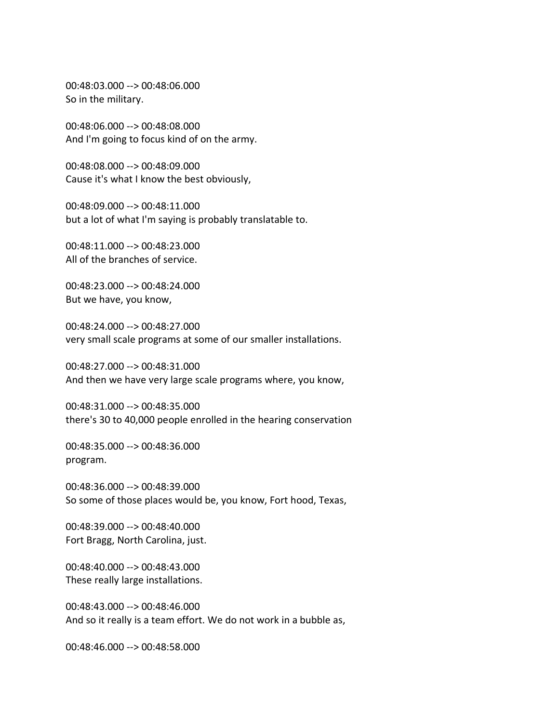00:48:03.000 --> 00:48:06.000 So in the military.

00:48:06.000 --> 00:48:08.000 And I'm going to focus kind of on the army.

00:48:08.000 --> 00:48:09.000 Cause it's what I know the best obviously,

00:48:09.000 --> 00:48:11.000 but a lot of what I'm saying is probably translatable to.

00:48:11.000 --> 00:48:23.000 All of the branches of service.

00:48:23.000 --> 00:48:24.000 But we have, you know,

00:48:24.000 --> 00:48:27.000 very small scale programs at some of our smaller installations.

00:48:27.000 --> 00:48:31.000 And then we have very large scale programs where, you know,

00:48:31.000 --> 00:48:35.000 there's 30 to 40,000 people enrolled in the hearing conservation

00:48:35.000 --> 00:48:36.000 program.

00:48:36.000 --> 00:48:39.000 So some of those places would be, you know, Fort hood, Texas,

00:48:39.000 --> 00:48:40.000 Fort Bragg, North Carolina, just.

00:48:40.000 --> 00:48:43.000 These really large installations.

00:48:43.000 --> 00:48:46.000 And so it really is a team effort. We do not work in a bubble as,

00:48:46.000 --> 00:48:58.000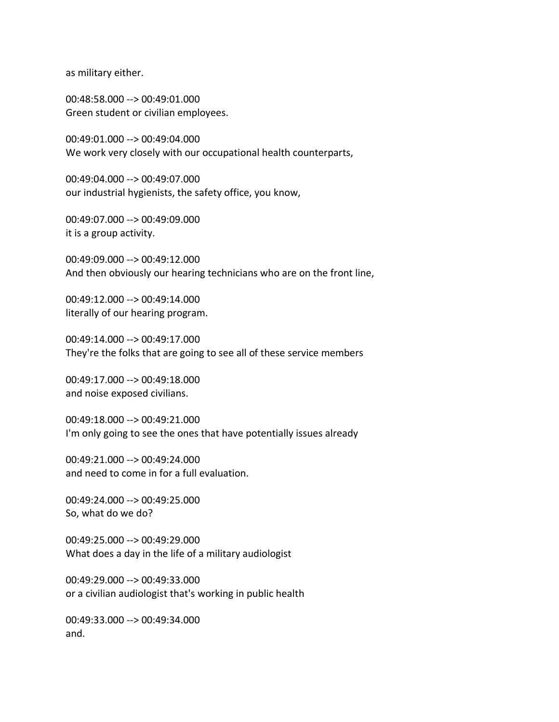as military either.

00:48:58.000 --> 00:49:01.000 Green student or civilian employees.

00:49:01.000 --> 00:49:04.000 We work very closely with our occupational health counterparts,

00:49:04.000 --> 00:49:07.000 our industrial hygienists, the safety office, you know,

00:49:07.000 --> 00:49:09.000 it is a group activity.

00:49:09.000 --> 00:49:12.000 And then obviously our hearing technicians who are on the front line,

00:49:12.000 --> 00:49:14.000 literally of our hearing program.

00:49:14.000 --> 00:49:17.000 They're the folks that are going to see all of these service members

00:49:17.000 --> 00:49:18.000 and noise exposed civilians.

00:49:18.000 --> 00:49:21.000 I'm only going to see the ones that have potentially issues already

00:49:21.000 --> 00:49:24.000 and need to come in for a full evaluation.

00:49:24.000 --> 00:49:25.000 So, what do we do?

00:49:25.000 --> 00:49:29.000 What does a day in the life of a military audiologist

00:49:29.000 --> 00:49:33.000 or a civilian audiologist that's working in public health

00:49:33.000 --> 00:49:34.000 and.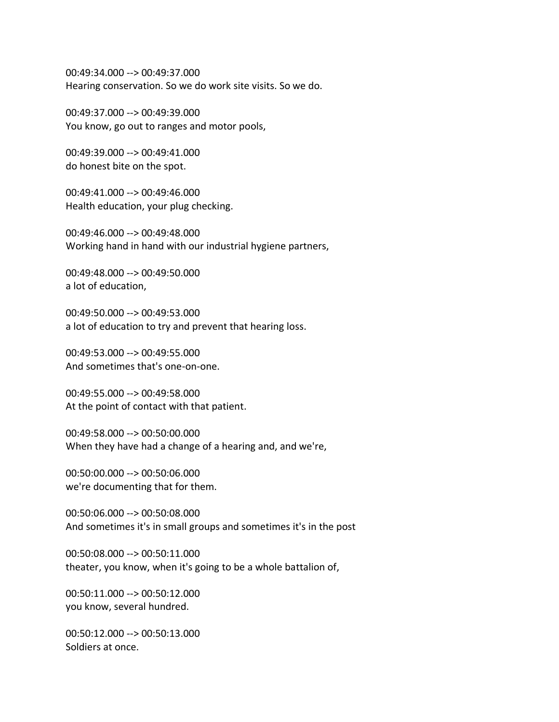00:49:34.000 --> 00:49:37.000 Hearing conservation. So we do work site visits. So we do.

00:49:37.000 --> 00:49:39.000 You know, go out to ranges and motor pools,

00:49:39.000 --> 00:49:41.000 do honest bite on the spot.

00:49:41.000 --> 00:49:46.000 Health education, your plug checking.

00:49:46.000 --> 00:49:48.000 Working hand in hand with our industrial hygiene partners,

00:49:48.000 --> 00:49:50.000 a lot of education,

00:49:50.000 --> 00:49:53.000 a lot of education to try and prevent that hearing loss.

00:49:53.000 --> 00:49:55.000 And sometimes that's one-on-one.

00:49:55.000 --> 00:49:58.000 At the point of contact with that patient.

00:49:58.000 --> 00:50:00.000 When they have had a change of a hearing and, and we're,

00:50:00.000 --> 00:50:06.000 we're documenting that for them.

00:50:06.000 --> 00:50:08.000 And sometimes it's in small groups and sometimes it's in the post

00:50:08.000 --> 00:50:11.000 theater, you know, when it's going to be a whole battalion of,

00:50:11.000 --> 00:50:12.000 you know, several hundred.

00:50:12.000 --> 00:50:13.000 Soldiers at once.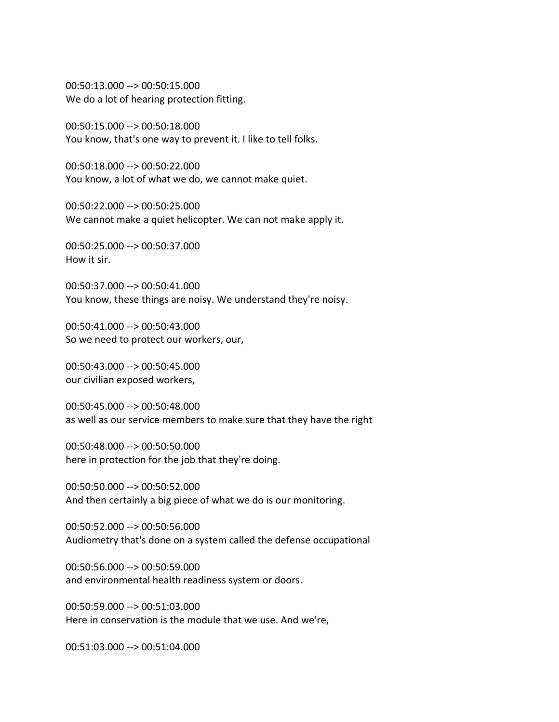00:50:13.000 --> 00:50:15.000 We do a lot of hearing protection fitting.

00:50:15.000 --> 00:50:18.000 You know, that's one way to prevent it. I like to tell folks.

00:50:18.000 --> 00:50:22.000 You know, a lot of what we do, we cannot make quiet.

00:50:22.000 --> 00:50:25.000 We cannot make a quiet helicopter. We can not make apply it.

00:50:25.000 --> 00:50:37.000 How it sir.

00:50:37.000 --> 00:50:41.000 You know, these things are noisy. We understand they're noisy.

00:50:41.000 --> 00:50:43.000 So we need to protect our workers, our,

00:50:43.000 --> 00:50:45.000 our civilian exposed workers,

00:50:45.000 --> 00:50:48.000 as well as our service members to make sure that they have the right

00:50:48.000 --> 00:50:50.000 here in protection for the job that they're doing.

00:50:50.000 --> 00:50:52.000 And then certainly a big piece of what we do is our monitoring.

00:50:52.000 --> 00:50:56.000 Audiometry that's done on a system called the defense occupational

00:50:56.000 --> 00:50:59.000 and environmental health readiness system or doors.

00:50:59.000 --> 00:51:03.000 Here in conservation is the module that we use. And we're,

00:51:03.000 --> 00:51:04.000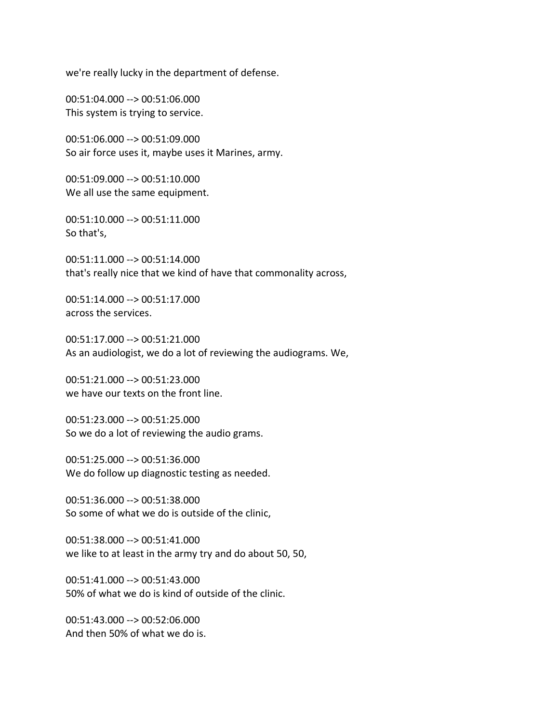we're really lucky in the department of defense.

00:51:04.000 --> 00:51:06.000 This system is trying to service.

00:51:06.000 --> 00:51:09.000 So air force uses it, maybe uses it Marines, army.

00:51:09.000 --> 00:51:10.000 We all use the same equipment.

00:51:10.000 --> 00:51:11.000 So that's,

00:51:11.000 --> 00:51:14.000 that's really nice that we kind of have that commonality across,

00:51:14.000 --> 00:51:17.000 across the services.

00:51:17.000 --> 00:51:21.000 As an audiologist, we do a lot of reviewing the audiograms. We,

00:51:21.000 --> 00:51:23.000 we have our texts on the front line.

00:51:23.000 --> 00:51:25.000 So we do a lot of reviewing the audio grams.

00:51:25.000 --> 00:51:36.000 We do follow up diagnostic testing as needed.

00:51:36.000 --> 00:51:38.000 So some of what we do is outside of the clinic,

00:51:38.000 --> 00:51:41.000 we like to at least in the army try and do about 50, 50,

00:51:41.000 --> 00:51:43.000 50% of what we do is kind of outside of the clinic.

00:51:43.000 --> 00:52:06.000 And then 50% of what we do is.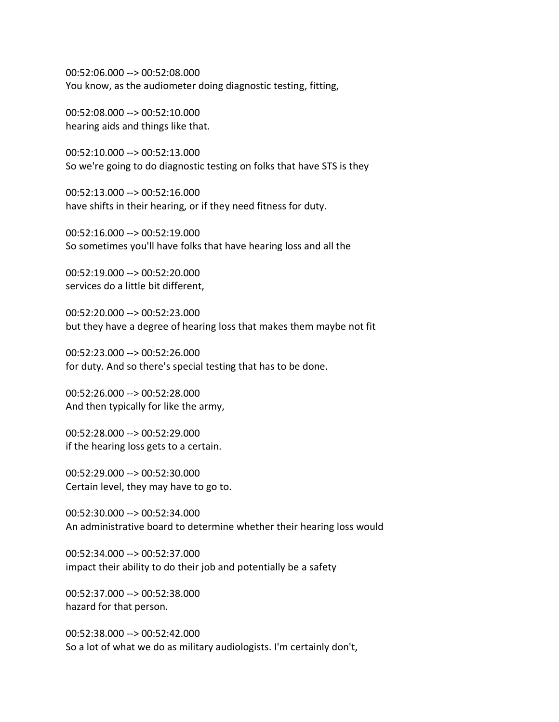00:52:06.000 --> 00:52:08.000 You know, as the audiometer doing diagnostic testing, fitting,

00:52:08.000 --> 00:52:10.000 hearing aids and things like that.

00:52:10.000 --> 00:52:13.000 So we're going to do diagnostic testing on folks that have STS is they

00:52:13.000 --> 00:52:16.000 have shifts in their hearing, or if they need fitness for duty.

00:52:16.000 --> 00:52:19.000 So sometimes you'll have folks that have hearing loss and all the

00:52:19.000 --> 00:52:20.000 services do a little bit different,

00:52:20.000 --> 00:52:23.000 but they have a degree of hearing loss that makes them maybe not fit

00:52:23.000 --> 00:52:26.000 for duty. And so there's special testing that has to be done.

00:52:26.000 --> 00:52:28.000 And then typically for like the army,

00:52:28.000 --> 00:52:29.000 if the hearing loss gets to a certain.

00:52:29.000 --> 00:52:30.000 Certain level, they may have to go to.

00:52:30.000 --> 00:52:34.000 An administrative board to determine whether their hearing loss would

00:52:34.000 --> 00:52:37.000 impact their ability to do their job and potentially be a safety

00:52:37.000 --> 00:52:38.000 hazard for that person.

00:52:38.000 --> 00:52:42.000 So a lot of what we do as military audiologists. I'm certainly don't,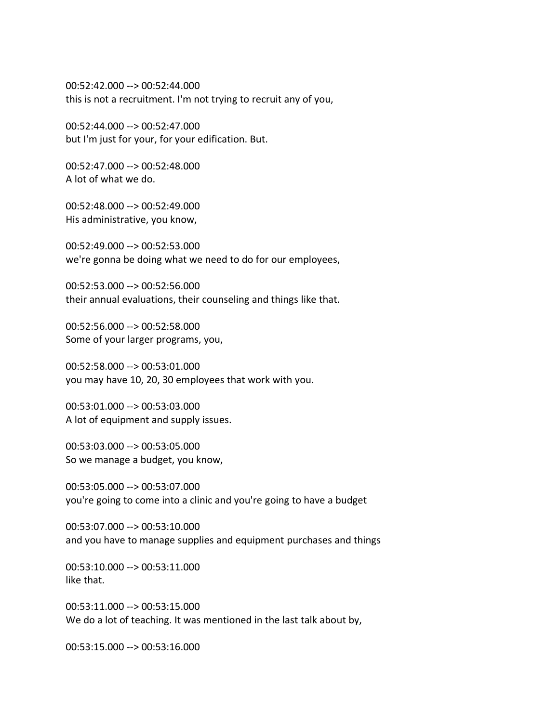00:52:42.000 --> 00:52:44.000 this is not a recruitment. I'm not trying to recruit any of you,

00:52:44.000 --> 00:52:47.000 but I'm just for your, for your edification. But.

00:52:47.000 --> 00:52:48.000 A lot of what we do.

00:52:48.000 --> 00:52:49.000 His administrative, you know,

00:52:49.000 --> 00:52:53.000 we're gonna be doing what we need to do for our employees,

00:52:53.000 --> 00:52:56.000 their annual evaluations, their counseling and things like that.

00:52:56.000 --> 00:52:58.000 Some of your larger programs, you,

00:52:58.000 --> 00:53:01.000 you may have 10, 20, 30 employees that work with you.

00:53:01.000 --> 00:53:03.000 A lot of equipment and supply issues.

00:53:03.000 --> 00:53:05.000 So we manage a budget, you know,

00:53:05.000 --> 00:53:07.000 you're going to come into a clinic and you're going to have a budget

00:53:07.000 --> 00:53:10.000 and you have to manage supplies and equipment purchases and things

00:53:10.000 --> 00:53:11.000 like that.

00:53:11.000 --> 00:53:15.000 We do a lot of teaching. It was mentioned in the last talk about by,

00:53:15.000 --> 00:53:16.000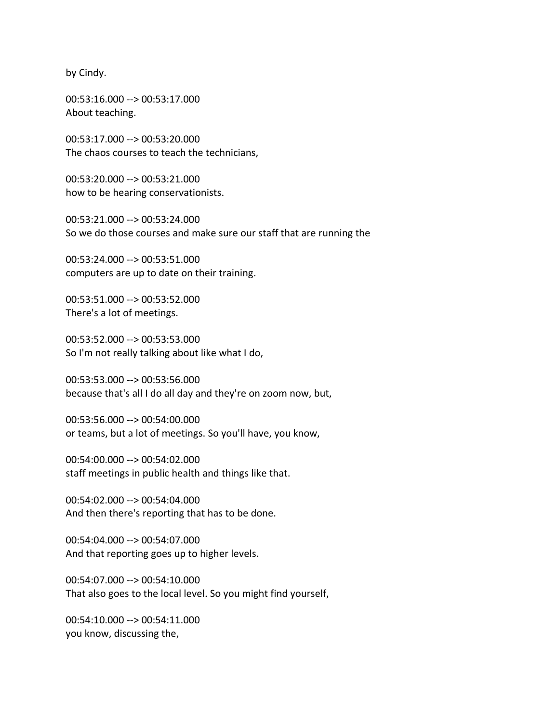by Cindy.

00:53:16.000 --> 00:53:17.000 About teaching.

00:53:17.000 --> 00:53:20.000 The chaos courses to teach the technicians,

00:53:20.000 --> 00:53:21.000 how to be hearing conservationists.

00:53:21.000 --> 00:53:24.000 So we do those courses and make sure our staff that are running the

00:53:24.000 --> 00:53:51.000 computers are up to date on their training.

00:53:51.000 --> 00:53:52.000 There's a lot of meetings.

00:53:52.000 --> 00:53:53.000 So I'm not really talking about like what I do,

00:53:53.000 --> 00:53:56.000 because that's all I do all day and they're on zoom now, but,

00:53:56.000 --> 00:54:00.000 or teams, but a lot of meetings. So you'll have, you know,

00:54:00.000 --> 00:54:02.000 staff meetings in public health and things like that.

00:54:02.000 --> 00:54:04.000 And then there's reporting that has to be done.

00:54:04.000 --> 00:54:07.000 And that reporting goes up to higher levels.

00:54:07.000 --> 00:54:10.000 That also goes to the local level. So you might find yourself,

00:54:10.000 --> 00:54:11.000 you know, discussing the,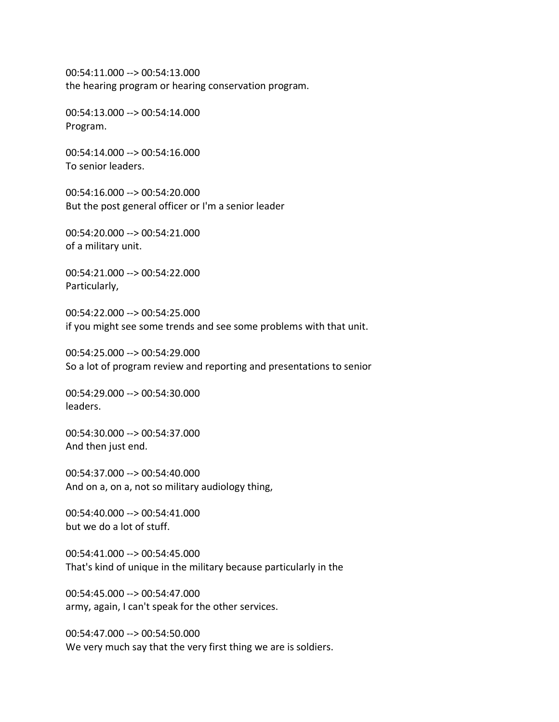00:54:11.000 --> 00:54:13.000 the hearing program or hearing conservation program.

00:54:13.000 --> 00:54:14.000 Program.

00:54:14.000 --> 00:54:16.000 To senior leaders.

00:54:16.000 --> 00:54:20.000 But the post general officer or I'm a senior leader

00:54:20.000 --> 00:54:21.000 of a military unit.

00:54:21.000 --> 00:54:22.000 Particularly,

00:54:22.000 --> 00:54:25.000 if you might see some trends and see some problems with that unit.

00:54:25.000 --> 00:54:29.000 So a lot of program review and reporting and presentations to senior

00:54:29.000 --> 00:54:30.000 leaders.

00:54:30.000 --> 00:54:37.000 And then just end.

00:54:37.000 --> 00:54:40.000 And on a, on a, not so military audiology thing,

00:54:40.000 --> 00:54:41.000 but we do a lot of stuff.

00:54:41.000 --> 00:54:45.000 That's kind of unique in the military because particularly in the

00:54:45.000 --> 00:54:47.000 army, again, I can't speak for the other services.

00:54:47.000 --> 00:54:50.000 We very much say that the very first thing we are is soldiers.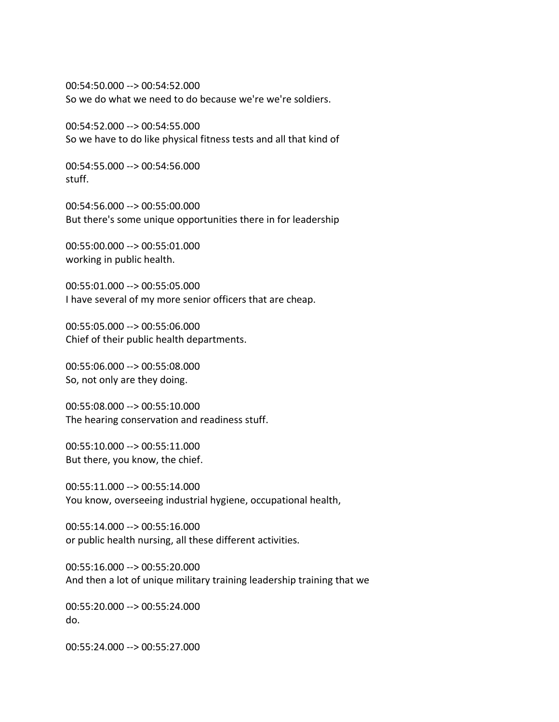00:54:50.000 --> 00:54:52.000 So we do what we need to do because we're we're soldiers.

00:54:52.000 --> 00:54:55.000 So we have to do like physical fitness tests and all that kind of

00:54:55.000 --> 00:54:56.000 stuff.

00:54:56.000 --> 00:55:00.000 But there's some unique opportunities there in for leadership

00:55:00.000 --> 00:55:01.000 working in public health.

00:55:01.000 --> 00:55:05.000 I have several of my more senior officers that are cheap.

00:55:05.000 --> 00:55:06.000 Chief of their public health departments.

00:55:06.000 --> 00:55:08.000 So, not only are they doing.

00:55:08.000 --> 00:55:10.000 The hearing conservation and readiness stuff.

00:55:10.000 --> 00:55:11.000 But there, you know, the chief.

00:55:11.000 --> 00:55:14.000 You know, overseeing industrial hygiene, occupational health,

00:55:14.000 --> 00:55:16.000 or public health nursing, all these different activities.

00:55:16.000 --> 00:55:20.000 And then a lot of unique military training leadership training that we

00:55:20.000 --> 00:55:24.000 do.

00:55:24.000 --> 00:55:27.000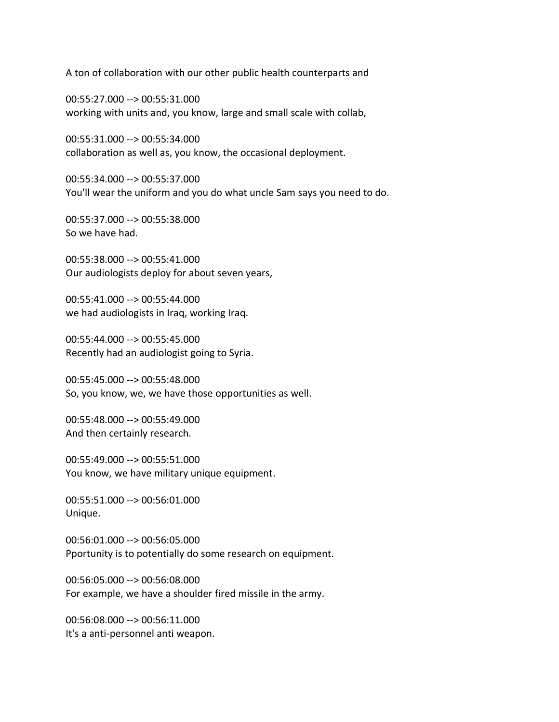A ton of collaboration with our other public health counterparts and

00:55:27.000 --> 00:55:31.000 working with units and, you know, large and small scale with collab,

00:55:31.000 --> 00:55:34.000 collaboration as well as, you know, the occasional deployment.

00:55:34.000 --> 00:55:37.000 You'll wear the uniform and you do what uncle Sam says you need to do.

00:55:37.000 --> 00:55:38.000 So we have had.

00:55:38.000 --> 00:55:41.000 Our audiologists deploy for about seven years,

00:55:41.000 --> 00:55:44.000 we had audiologists in Iraq, working Iraq.

00:55:44.000 --> 00:55:45.000 Recently had an audiologist going to Syria.

00:55:45.000 --> 00:55:48.000 So, you know, we, we have those opportunities as well.

00:55:48.000 --> 00:55:49.000 And then certainly research.

00:55:49.000 --> 00:55:51.000 You know, we have military unique equipment.

00:55:51.000 --> 00:56:01.000 Unique.

00:56:01.000 --> 00:56:05.000 Pportunity is to potentially do some research on equipment.

00:56:05.000 --> 00:56:08.000 For example, we have a shoulder fired missile in the army.

00:56:08.000 --> 00:56:11.000 It's a anti-personnel anti weapon.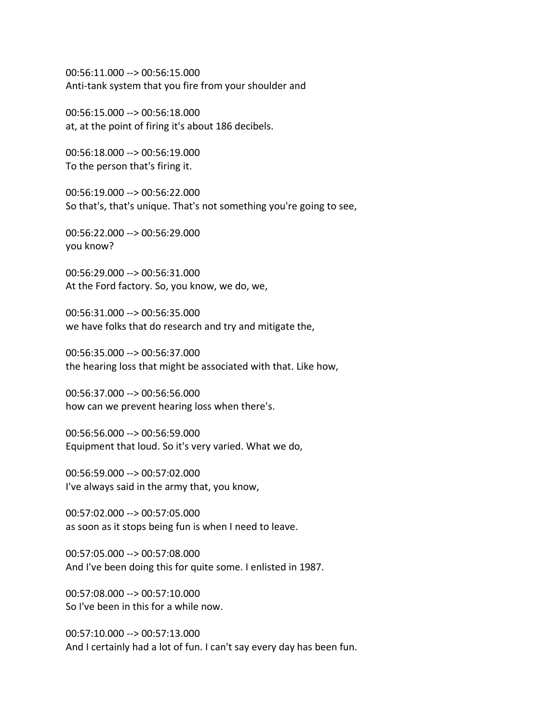00:56:11.000 --> 00:56:15.000 Anti-tank system that you fire from your shoulder and

00:56:15.000 --> 00:56:18.000 at, at the point of firing it's about 186 decibels.

00:56:18.000 --> 00:56:19.000 To the person that's firing it.

00:56:19.000 --> 00:56:22.000 So that's, that's unique. That's not something you're going to see,

00:56:22.000 --> 00:56:29.000 you know?

00:56:29.000 --> 00:56:31.000 At the Ford factory. So, you know, we do, we,

00:56:31.000 --> 00:56:35.000 we have folks that do research and try and mitigate the,

00:56:35.000 --> 00:56:37.000 the hearing loss that might be associated with that. Like how,

00:56:37.000 --> 00:56:56.000 how can we prevent hearing loss when there's.

00:56:56.000 --> 00:56:59.000 Equipment that loud. So it's very varied. What we do,

00:56:59.000 --> 00:57:02.000 I've always said in the army that, you know,

00:57:02.000 --> 00:57:05.000 as soon as it stops being fun is when I need to leave.

00:57:05.000 --> 00:57:08.000 And I've been doing this for quite some. I enlisted in 1987.

00:57:08.000 --> 00:57:10.000 So I've been in this for a while now.

00:57:10.000 --> 00:57:13.000 And I certainly had a lot of fun. I can't say every day has been fun.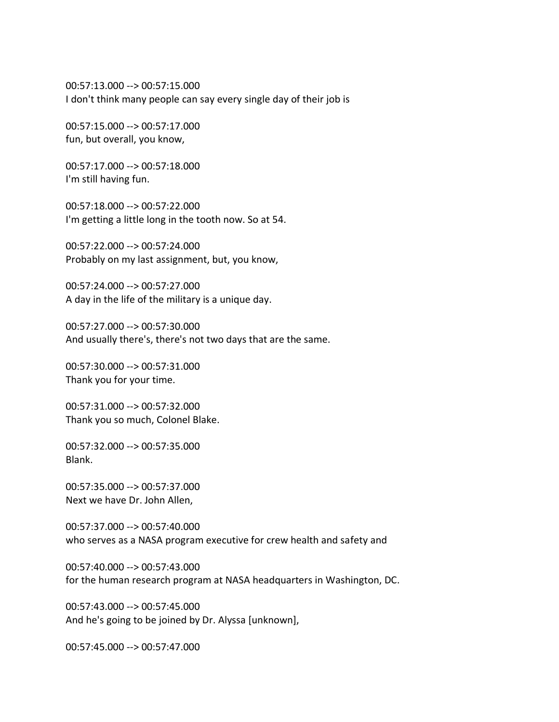00:57:13.000 --> 00:57:15.000 I don't think many people can say every single day of their job is

00:57:15.000 --> 00:57:17.000 fun, but overall, you know,

00:57:17.000 --> 00:57:18.000 I'm still having fun.

00:57:18.000 --> 00:57:22.000 I'm getting a little long in the tooth now. So at 54.

00:57:22.000 --> 00:57:24.000 Probably on my last assignment, but, you know,

00:57:24.000 --> 00:57:27.000 A day in the life of the military is a unique day.

00:57:27.000 --> 00:57:30.000 And usually there's, there's not two days that are the same.

00:57:30.000 --> 00:57:31.000 Thank you for your time.

00:57:31.000 --> 00:57:32.000 Thank you so much, Colonel Blake.

00:57:32.000 --> 00:57:35.000 Blank.

00:57:35.000 --> 00:57:37.000 Next we have Dr. John Allen,

00:57:37.000 --> 00:57:40.000 who serves as a NASA program executive for crew health and safety and

00:57:40.000 --> 00:57:43.000 for the human research program at NASA headquarters in Washington, DC.

00:57:43.000 --> 00:57:45.000 And he's going to be joined by Dr. Alyssa [unknown],

00:57:45.000 --> 00:57:47.000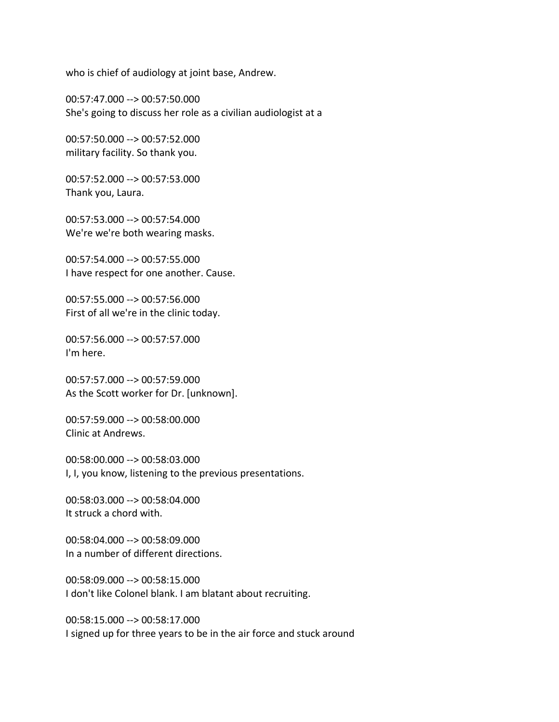who is chief of audiology at joint base, Andrew.

00:57:47.000 --> 00:57:50.000 She's going to discuss her role as a civilian audiologist at a

00:57:50.000 --> 00:57:52.000 military facility. So thank you.

00:57:52.000 --> 00:57:53.000 Thank you, Laura.

00:57:53.000 --> 00:57:54.000 We're we're both wearing masks.

00:57:54.000 --> 00:57:55.000 I have respect for one another. Cause.

00:57:55.000 --> 00:57:56.000 First of all we're in the clinic today.

00:57:56.000 --> 00:57:57.000 I'm here.

00:57:57.000 --> 00:57:59.000 As the Scott worker for Dr. [unknown].

00:57:59.000 --> 00:58:00.000 Clinic at Andrews.

00:58:00.000 --> 00:58:03.000 I, I, you know, listening to the previous presentations.

00:58:03.000 --> 00:58:04.000 It struck a chord with.

00:58:04.000 --> 00:58:09.000 In a number of different directions.

00:58:09.000 --> 00:58:15.000 I don't like Colonel blank. I am blatant about recruiting.

00:58:15.000 --> 00:58:17.000 I signed up for three years to be in the air force and stuck around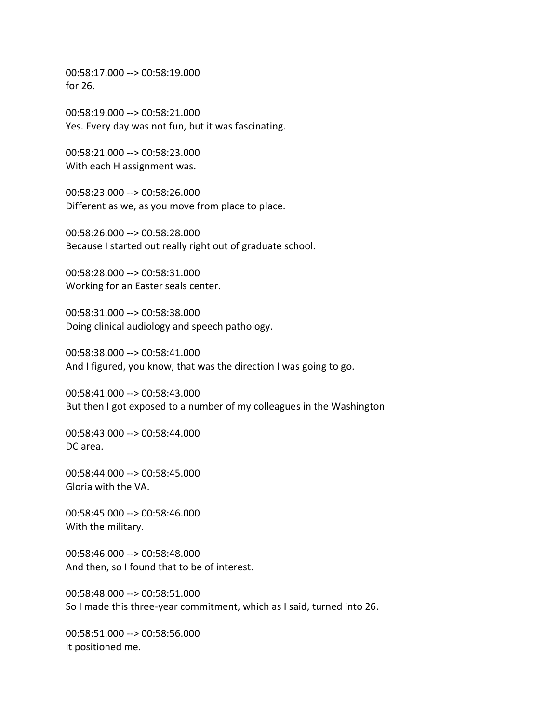00:58:17.000 --> 00:58:19.000 for 26.

00:58:19.000 --> 00:58:21.000 Yes. Every day was not fun, but it was fascinating.

00:58:21.000 --> 00:58:23.000 With each H assignment was.

00:58:23.000 --> 00:58:26.000 Different as we, as you move from place to place.

00:58:26.000 --> 00:58:28.000 Because I started out really right out of graduate school.

00:58:28.000 --> 00:58:31.000 Working for an Easter seals center.

00:58:31.000 --> 00:58:38.000 Doing clinical audiology and speech pathology.

00:58:38.000 --> 00:58:41.000 And I figured, you know, that was the direction I was going to go.

00:58:41.000 --> 00:58:43.000 But then I got exposed to a number of my colleagues in the Washington

00:58:43.000 --> 00:58:44.000 DC area.

00:58:44.000 --> 00:58:45.000 Gloria with the VA.

00:58:45.000 --> 00:58:46.000 With the military.

00:58:46.000 --> 00:58:48.000 And then, so I found that to be of interest.

00:58:48.000 --> 00:58:51.000 So I made this three-year commitment, which as I said, turned into 26.

00:58:51.000 --> 00:58:56.000 It positioned me.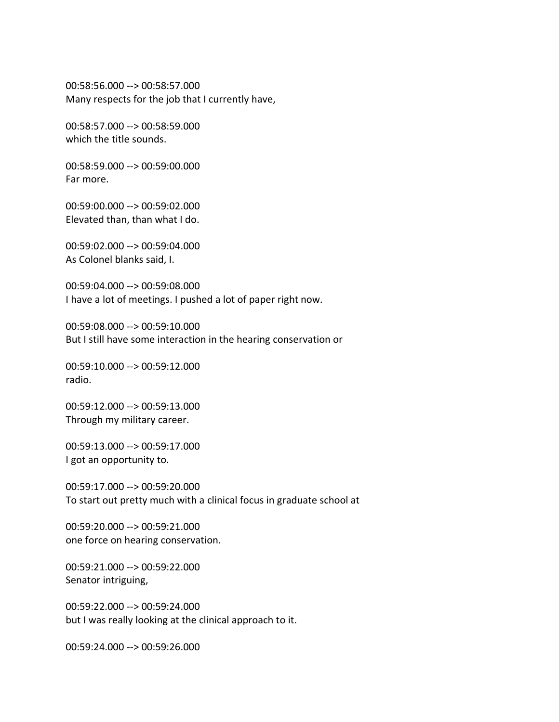00:58:56.000 --> 00:58:57.000 Many respects for the job that I currently have,

00:58:57.000 --> 00:58:59.000 which the title sounds.

00:58:59.000 --> 00:59:00.000 Far more.

00:59:00.000 --> 00:59:02.000 Elevated than, than what I do.

00:59:02.000 --> 00:59:04.000 As Colonel blanks said, I.

00:59:04.000 --> 00:59:08.000 I have a lot of meetings. I pushed a lot of paper right now.

00:59:08.000 --> 00:59:10.000 But I still have some interaction in the hearing conservation or

00:59:10.000 --> 00:59:12.000 radio.

00:59:12.000 --> 00:59:13.000 Through my military career.

00:59:13.000 --> 00:59:17.000 I got an opportunity to.

00:59:17.000 --> 00:59:20.000 To start out pretty much with a clinical focus in graduate school at

00:59:20.000 --> 00:59:21.000 one force on hearing conservation.

00:59:21.000 --> 00:59:22.000 Senator intriguing,

00:59:22.000 --> 00:59:24.000 but I was really looking at the clinical approach to it.

00:59:24.000 --> 00:59:26.000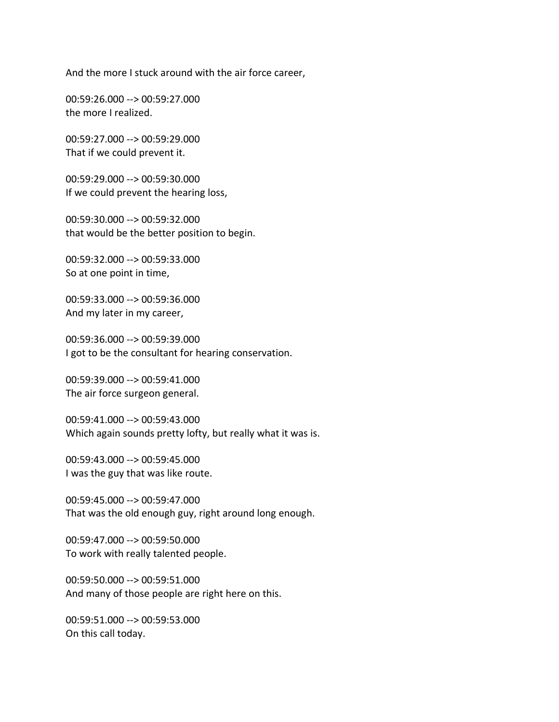And the more I stuck around with the air force career,

00:59:26.000 --> 00:59:27.000 the more I realized.

00:59:27.000 --> 00:59:29.000 That if we could prevent it.

00:59:29.000 --> 00:59:30.000 If we could prevent the hearing loss,

00:59:30.000 --> 00:59:32.000 that would be the better position to begin.

00:59:32.000 --> 00:59:33.000 So at one point in time,

00:59:33.000 --> 00:59:36.000 And my later in my career,

00:59:36.000 --> 00:59:39.000 I got to be the consultant for hearing conservation.

00:59:39.000 --> 00:59:41.000 The air force surgeon general.

00:59:41.000 --> 00:59:43.000 Which again sounds pretty lofty, but really what it was is.

00:59:43.000 --> 00:59:45.000 I was the guy that was like route.

00:59:45.000 --> 00:59:47.000 That was the old enough guy, right around long enough.

00:59:47.000 --> 00:59:50.000 To work with really talented people.

00:59:50.000 --> 00:59:51.000 And many of those people are right here on this.

00:59:51.000 --> 00:59:53.000 On this call today.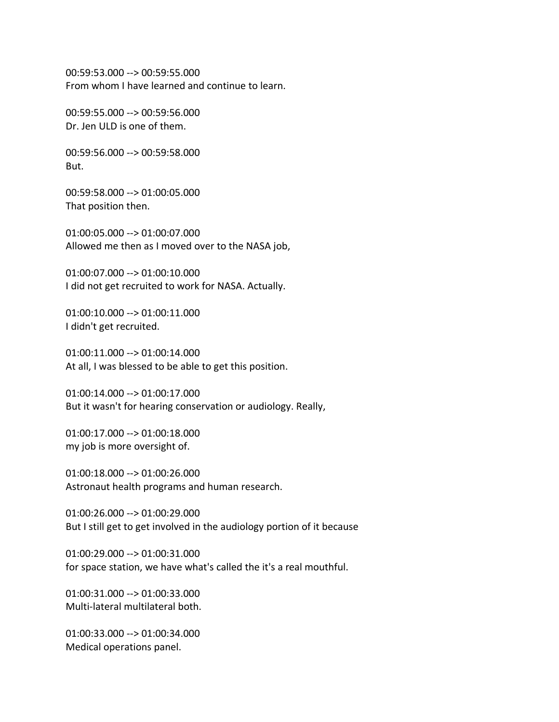00:59:53.000 --> 00:59:55.000 From whom I have learned and continue to learn.

00:59:55.000 --> 00:59:56.000 Dr. Jen ULD is one of them.

00:59:56.000 --> 00:59:58.000 But.

00:59:58.000 --> 01:00:05.000 That position then.

01:00:05.000 --> 01:00:07.000 Allowed me then as I moved over to the NASA job,

01:00:07.000 --> 01:00:10.000 I did not get recruited to work for NASA. Actually.

01:00:10.000 --> 01:00:11.000 I didn't get recruited.

01:00:11.000 --> 01:00:14.000 At all, I was blessed to be able to get this position.

01:00:14.000 --> 01:00:17.000 But it wasn't for hearing conservation or audiology. Really,

01:00:17.000 --> 01:00:18.000 my job is more oversight of.

01:00:18.000 --> 01:00:26.000 Astronaut health programs and human research.

01:00:26.000 --> 01:00:29.000 But I still get to get involved in the audiology portion of it because

01:00:29.000 --> 01:00:31.000 for space station, we have what's called the it's a real mouthful.

01:00:31.000 --> 01:00:33.000 Multi-lateral multilateral both.

01:00:33.000 --> 01:00:34.000 Medical operations panel.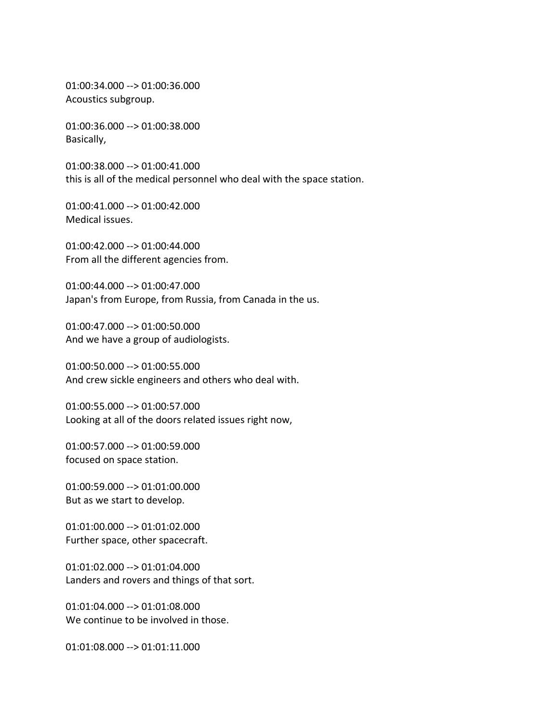01:00:34.000 --> 01:00:36.000 Acoustics subgroup.

01:00:36.000 --> 01:00:38.000 Basically,

01:00:38.000 --> 01:00:41.000 this is all of the medical personnel who deal with the space station.

01:00:41.000 --> 01:00:42.000 Medical issues.

01:00:42.000 --> 01:00:44.000 From all the different agencies from.

01:00:44.000 --> 01:00:47.000 Japan's from Europe, from Russia, from Canada in the us.

01:00:47.000 --> 01:00:50.000 And we have a group of audiologists.

01:00:50.000 --> 01:00:55.000 And crew sickle engineers and others who deal with.

01:00:55.000 --> 01:00:57.000 Looking at all of the doors related issues right now,

01:00:57.000 --> 01:00:59.000 focused on space station.

01:00:59.000 --> 01:01:00.000 But as we start to develop.

01:01:00.000 --> 01:01:02.000 Further space, other spacecraft.

01:01:02.000 --> 01:01:04.000 Landers and rovers and things of that sort.

01:01:04.000 --> 01:01:08.000 We continue to be involved in those.

01:01:08.000 --> 01:01:11.000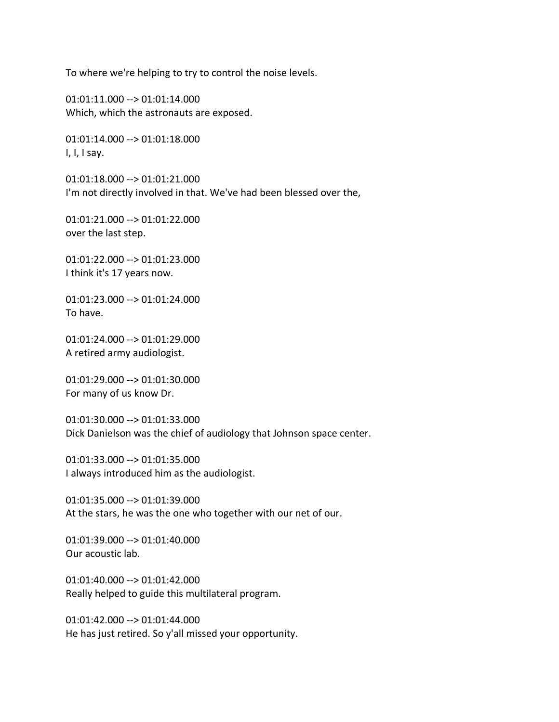To where we're helping to try to control the noise levels.

01:01:11.000 --> 01:01:14.000 Which, which the astronauts are exposed.

01:01:14.000 --> 01:01:18.000 I, I, I say.

01:01:18.000 --> 01:01:21.000 I'm not directly involved in that. We've had been blessed over the,

01:01:21.000 --> 01:01:22.000 over the last step.

01:01:22.000 --> 01:01:23.000 I think it's 17 years now.

01:01:23.000 --> 01:01:24.000 To have.

01:01:24.000 --> 01:01:29.000 A retired army audiologist.

01:01:29.000 --> 01:01:30.000 For many of us know Dr.

01:01:30.000 --> 01:01:33.000 Dick Danielson was the chief of audiology that Johnson space center.

01:01:33.000 --> 01:01:35.000 I always introduced him as the audiologist.

01:01:35.000 --> 01:01:39.000 At the stars, he was the one who together with our net of our.

01:01:39.000 --> 01:01:40.000 Our acoustic lab.

01:01:40.000 --> 01:01:42.000 Really helped to guide this multilateral program.

01:01:42.000 --> 01:01:44.000 He has just retired. So y'all missed your opportunity.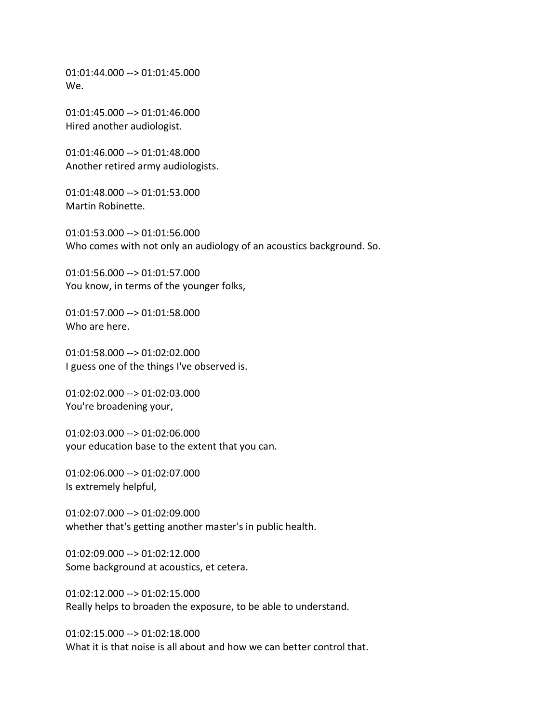01:01:44.000 --> 01:01:45.000 We.

01:01:45.000 --> 01:01:46.000 Hired another audiologist.

01:01:46.000 --> 01:01:48.000 Another retired army audiologists.

01:01:48.000 --> 01:01:53.000 Martin Robinette.

01:01:53.000 --> 01:01:56.000 Who comes with not only an audiology of an acoustics background. So.

01:01:56.000 --> 01:01:57.000 You know, in terms of the younger folks,

01:01:57.000 --> 01:01:58.000 Who are here.

01:01:58.000 --> 01:02:02.000 I guess one of the things I've observed is.

01:02:02.000 --> 01:02:03.000 You're broadening your,

01:02:03.000 --> 01:02:06.000 your education base to the extent that you can.

01:02:06.000 --> 01:02:07.000 Is extremely helpful,

01:02:07.000 --> 01:02:09.000 whether that's getting another master's in public health.

01:02:09.000 --> 01:02:12.000 Some background at acoustics, et cetera.

01:02:12.000 --> 01:02:15.000 Really helps to broaden the exposure, to be able to understand.

01:02:15.000 --> 01:02:18.000 What it is that noise is all about and how we can better control that.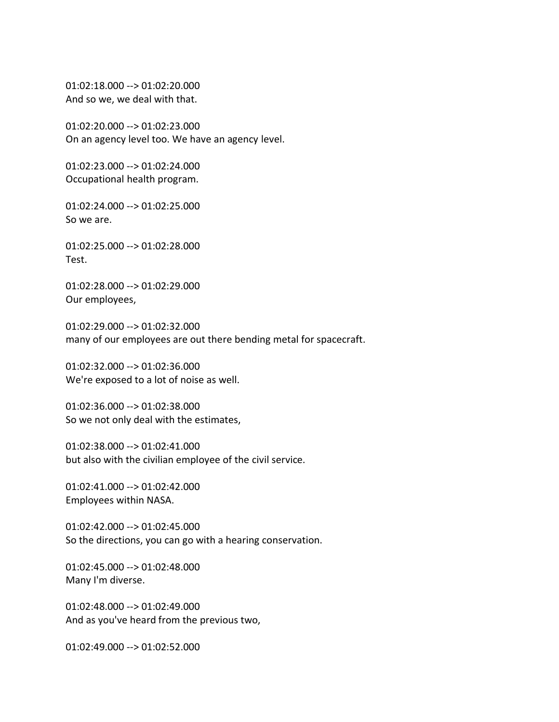01:02:18.000 --> 01:02:20.000 And so we, we deal with that.

01:02:20.000 --> 01:02:23.000 On an agency level too. We have an agency level.

01:02:23.000 --> 01:02:24.000 Occupational health program.

01:02:24.000 --> 01:02:25.000 So we are.

01:02:25.000 --> 01:02:28.000 Test.

01:02:28.000 --> 01:02:29.000 Our employees,

01:02:29.000 --> 01:02:32.000 many of our employees are out there bending metal for spacecraft.

01:02:32.000 --> 01:02:36.000 We're exposed to a lot of noise as well.

01:02:36.000 --> 01:02:38.000 So we not only deal with the estimates,

01:02:38.000 --> 01:02:41.000 but also with the civilian employee of the civil service.

01:02:41.000 --> 01:02:42.000 Employees within NASA.

01:02:42.000 --> 01:02:45.000 So the directions, you can go with a hearing conservation.

01:02:45.000 --> 01:02:48.000 Many I'm diverse.

01:02:48.000 --> 01:02:49.000 And as you've heard from the previous two,

01:02:49.000 --> 01:02:52.000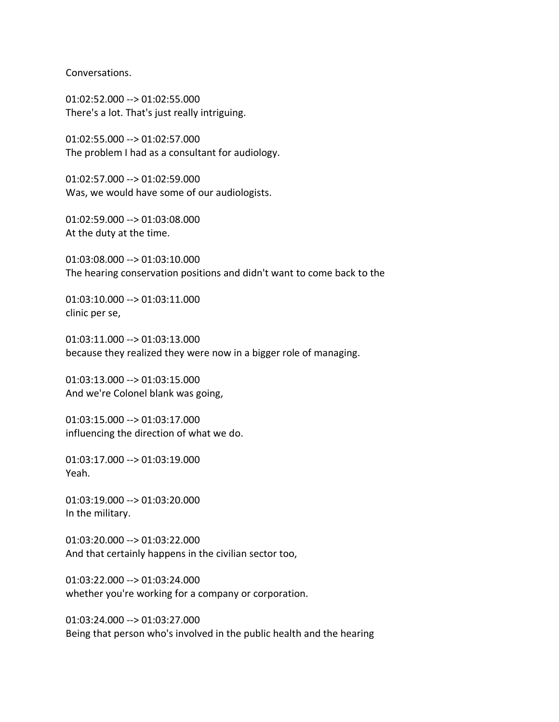Conversations.

01:02:52.000 --> 01:02:55.000 There's a lot. That's just really intriguing.

01:02:55.000 --> 01:02:57.000 The problem I had as a consultant for audiology.

01:02:57.000 --> 01:02:59.000 Was, we would have some of our audiologists.

01:02:59.000 --> 01:03:08.000 At the duty at the time.

01:03:08.000 --> 01:03:10.000 The hearing conservation positions and didn't want to come back to the

01:03:10.000 --> 01:03:11.000 clinic per se,

01:03:11.000 --> 01:03:13.000 because they realized they were now in a bigger role of managing.

01:03:13.000 --> 01:03:15.000 And we're Colonel blank was going,

01:03:15.000 --> 01:03:17.000 influencing the direction of what we do.

01:03:17.000 --> 01:03:19.000 Yeah.

01:03:19.000 --> 01:03:20.000 In the military.

01:03:20.000 --> 01:03:22.000 And that certainly happens in the civilian sector too,

01:03:22.000 --> 01:03:24.000 whether you're working for a company or corporation.

01:03:24.000 --> 01:03:27.000 Being that person who's involved in the public health and the hearing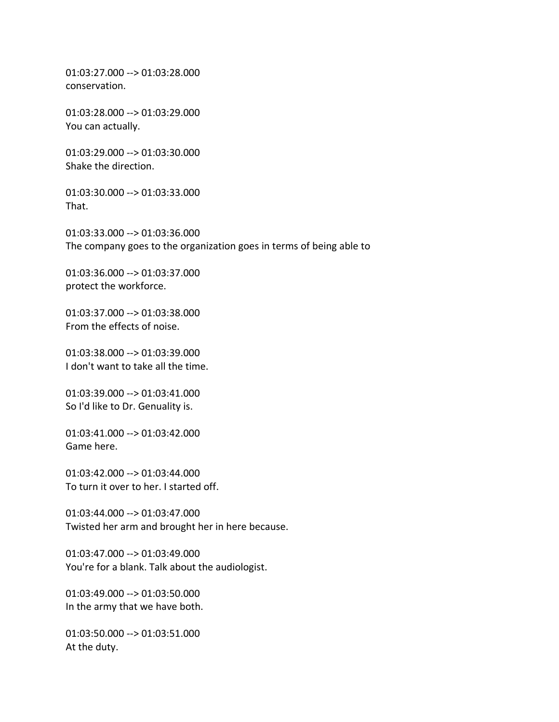01:03:27.000 --> 01:03:28.000 conservation.

01:03:28.000 --> 01:03:29.000 You can actually.

01:03:29.000 --> 01:03:30.000 Shake the direction.

01:03:30.000 --> 01:03:33.000 That.

01:03:33.000 --> 01:03:36.000 The company goes to the organization goes in terms of being able to

01:03:36.000 --> 01:03:37.000 protect the workforce.

01:03:37.000 --> 01:03:38.000 From the effects of noise.

01:03:38.000 --> 01:03:39.000 I don't want to take all the time.

01:03:39.000 --> 01:03:41.000 So I'd like to Dr. Genuality is.

01:03:41.000 --> 01:03:42.000 Game here.

01:03:42.000 --> 01:03:44.000 To turn it over to her. I started off.

01:03:44.000 --> 01:03:47.000 Twisted her arm and brought her in here because.

01:03:47.000 --> 01:03:49.000 You're for a blank. Talk about the audiologist.

01:03:49.000 --> 01:03:50.000 In the army that we have both.

01:03:50.000 --> 01:03:51.000 At the duty.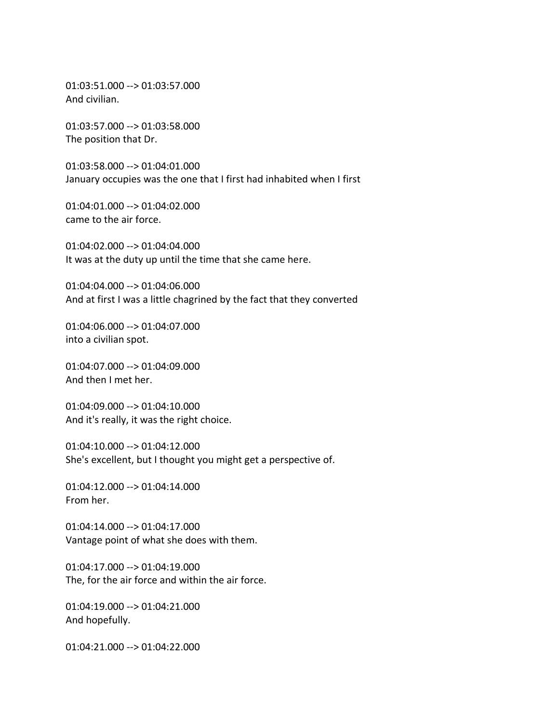01:03:51.000 --> 01:03:57.000 And civilian.

01:03:57.000 --> 01:03:58.000 The position that Dr.

01:03:58.000 --> 01:04:01.000 January occupies was the one that I first had inhabited when I first

01:04:01.000 --> 01:04:02.000 came to the air force.

01:04:02.000 --> 01:04:04.000 It was at the duty up until the time that she came here.

01:04:04.000 --> 01:04:06.000 And at first I was a little chagrined by the fact that they converted

01:04:06.000 --> 01:04:07.000 into a civilian spot.

01:04:07.000 --> 01:04:09.000 And then I met her.

01:04:09.000 --> 01:04:10.000 And it's really, it was the right choice.

01:04:10.000 --> 01:04:12.000 She's excellent, but I thought you might get a perspective of.

01:04:12.000 --> 01:04:14.000 From her.

01:04:14.000 --> 01:04:17.000 Vantage point of what she does with them.

01:04:17.000 --> 01:04:19.000 The, for the air force and within the air force.

01:04:19.000 --> 01:04:21.000 And hopefully.

01:04:21.000 --> 01:04:22.000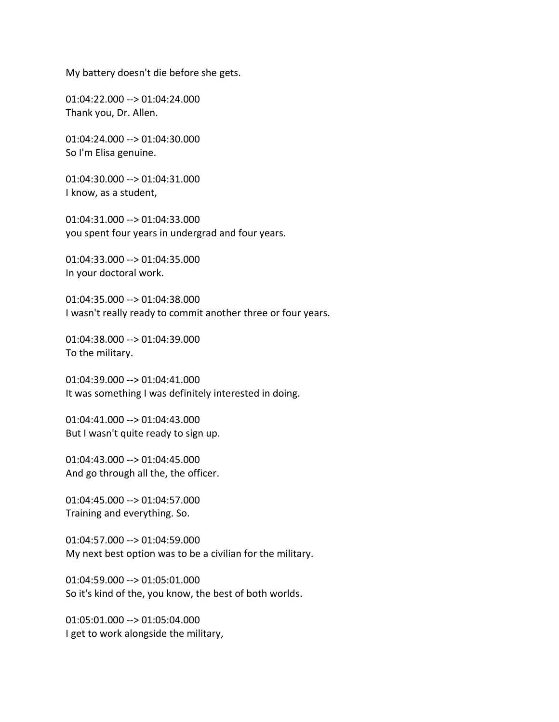My battery doesn't die before she gets.

01:04:22.000 --> 01:04:24.000 Thank you, Dr. Allen.

01:04:24.000 --> 01:04:30.000 So I'm Elisa genuine.

01:04:30.000 --> 01:04:31.000 I know, as a student,

01:04:31.000 --> 01:04:33.000 you spent four years in undergrad and four years.

01:04:33.000 --> 01:04:35.000 In your doctoral work.

01:04:35.000 --> 01:04:38.000 I wasn't really ready to commit another three or four years.

01:04:38.000 --> 01:04:39.000 To the military.

01:04:39.000 --> 01:04:41.000 It was something I was definitely interested in doing.

01:04:41.000 --> 01:04:43.000 But I wasn't quite ready to sign up.

01:04:43.000 --> 01:04:45.000 And go through all the, the officer.

01:04:45.000 --> 01:04:57.000 Training and everything. So.

01:04:57.000 --> 01:04:59.000 My next best option was to be a civilian for the military.

01:04:59.000 --> 01:05:01.000 So it's kind of the, you know, the best of both worlds.

01:05:01.000 --> 01:05:04.000 I get to work alongside the military,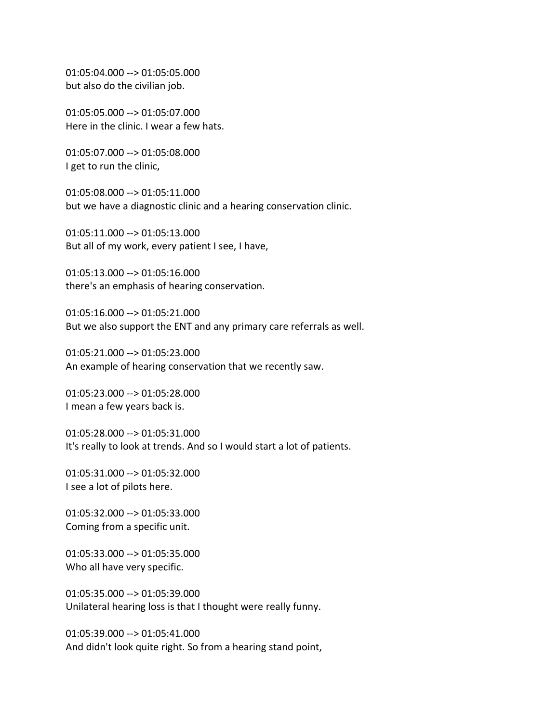01:05:04.000 --> 01:05:05.000 but also do the civilian job.

01:05:05.000 --> 01:05:07.000 Here in the clinic. I wear a few hats.

01:05:07.000 --> 01:05:08.000 I get to run the clinic,

01:05:08.000 --> 01:05:11.000 but we have a diagnostic clinic and a hearing conservation clinic.

01:05:11.000 --> 01:05:13.000 But all of my work, every patient I see, I have,

01:05:13.000 --> 01:05:16.000 there's an emphasis of hearing conservation.

01:05:16.000 --> 01:05:21.000 But we also support the ENT and any primary care referrals as well.

01:05:21.000 --> 01:05:23.000 An example of hearing conservation that we recently saw.

01:05:23.000 --> 01:05:28.000 I mean a few years back is.

01:05:28.000 --> 01:05:31.000 It's really to look at trends. And so I would start a lot of patients.

01:05:31.000 --> 01:05:32.000 I see a lot of pilots here.

01:05:32.000 --> 01:05:33.000 Coming from a specific unit.

01:05:33.000 --> 01:05:35.000 Who all have very specific.

01:05:35.000 --> 01:05:39.000 Unilateral hearing loss is that I thought were really funny.

01:05:39.000 --> 01:05:41.000 And didn't look quite right. So from a hearing stand point,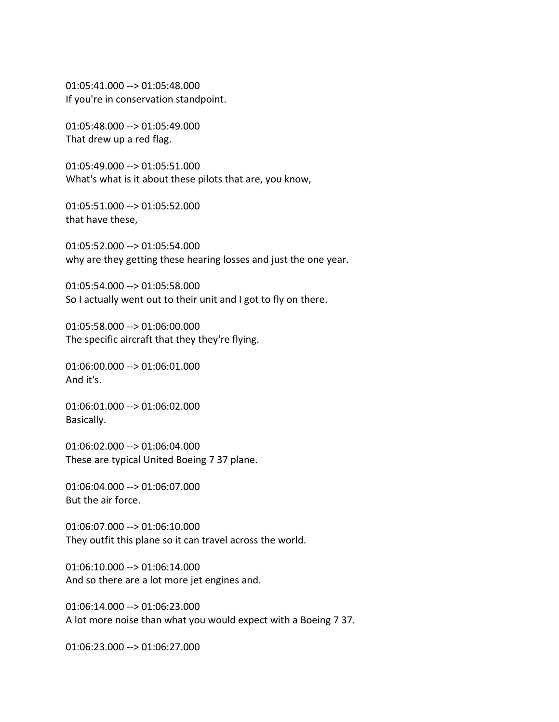01:05:41.000 --> 01:05:48.000 If you're in conservation standpoint.

01:05:48.000 --> 01:05:49.000 That drew up a red flag.

01:05:49.000 --> 01:05:51.000 What's what is it about these pilots that are, you know,

01:05:51.000 --> 01:05:52.000 that have these,

01:05:52.000 --> 01:05:54.000 why are they getting these hearing losses and just the one year.

01:05:54.000 --> 01:05:58.000 So I actually went out to their unit and I got to fly on there.

01:05:58.000 --> 01:06:00.000 The specific aircraft that they they're flying.

01:06:00.000 --> 01:06:01.000 And it's.

01:06:01.000 --> 01:06:02.000 Basically.

01:06:02.000 --> 01:06:04.000 These are typical United Boeing 7 37 plane.

01:06:04.000 --> 01:06:07.000 But the air force.

01:06:07.000 --> 01:06:10.000 They outfit this plane so it can travel across the world.

01:06:10.000 --> 01:06:14.000 And so there are a lot more jet engines and.

01:06:14.000 --> 01:06:23.000 A lot more noise than what you would expect with a Boeing 7 37.

01:06:23.000 --> 01:06:27.000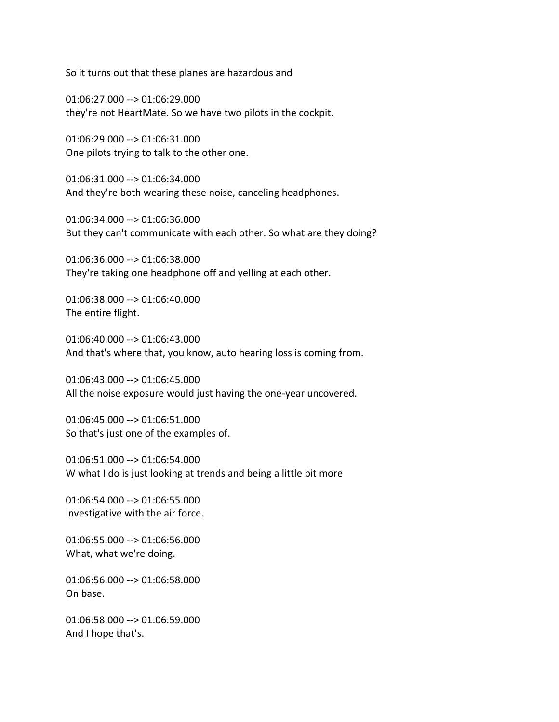So it turns out that these planes are hazardous and

01:06:27.000 --> 01:06:29.000 they're not HeartMate. So we have two pilots in the cockpit.

01:06:29.000 --> 01:06:31.000 One pilots trying to talk to the other one.

01:06:31.000 --> 01:06:34.000 And they're both wearing these noise, canceling headphones.

01:06:34.000 --> 01:06:36.000 But they can't communicate with each other. So what are they doing?

01:06:36.000 --> 01:06:38.000 They're taking one headphone off and yelling at each other.

01:06:38.000 --> 01:06:40.000 The entire flight.

01:06:40.000 --> 01:06:43.000 And that's where that, you know, auto hearing loss is coming from.

01:06:43.000 --> 01:06:45.000 All the noise exposure would just having the one-year uncovered.

01:06:45.000 --> 01:06:51.000 So that's just one of the examples of.

01:06:51.000 --> 01:06:54.000 W what I do is just looking at trends and being a little bit more

01:06:54.000 --> 01:06:55.000 investigative with the air force.

01:06:55.000 --> 01:06:56.000 What, what we're doing.

01:06:56.000 --> 01:06:58.000 On base.

01:06:58.000 --> 01:06:59.000 And I hope that's.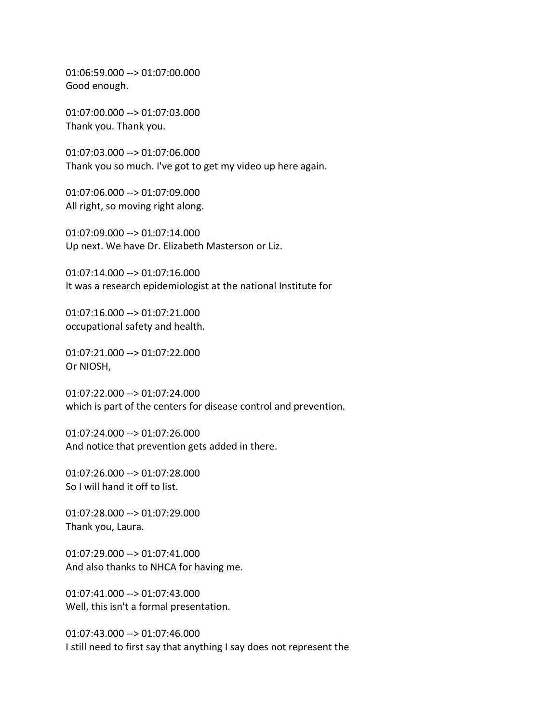01:06:59.000 --> 01:07:00.000 Good enough.

01:07:00.000 --> 01:07:03.000 Thank you. Thank you.

01:07:03.000 --> 01:07:06.000 Thank you so much. I've got to get my video up here again.

01:07:06.000 --> 01:07:09.000 All right, so moving right along.

01:07:09.000 --> 01:07:14.000 Up next. We have Dr. Elizabeth Masterson or Liz.

01:07:14.000 --> 01:07:16.000 It was a research epidemiologist at the national Institute for

01:07:16.000 --> 01:07:21.000 occupational safety and health.

01:07:21.000 --> 01:07:22.000 Or NIOSH,

01:07:22.000 --> 01:07:24.000 which is part of the centers for disease control and prevention.

01:07:24.000 --> 01:07:26.000 And notice that prevention gets added in there.

01:07:26.000 --> 01:07:28.000 So I will hand it off to list.

01:07:28.000 --> 01:07:29.000 Thank you, Laura.

01:07:29.000 --> 01:07:41.000 And also thanks to NHCA for having me.

01:07:41.000 --> 01:07:43.000 Well, this isn't a formal presentation.

01:07:43.000 --> 01:07:46.000 I still need to first say that anything I say does not represent the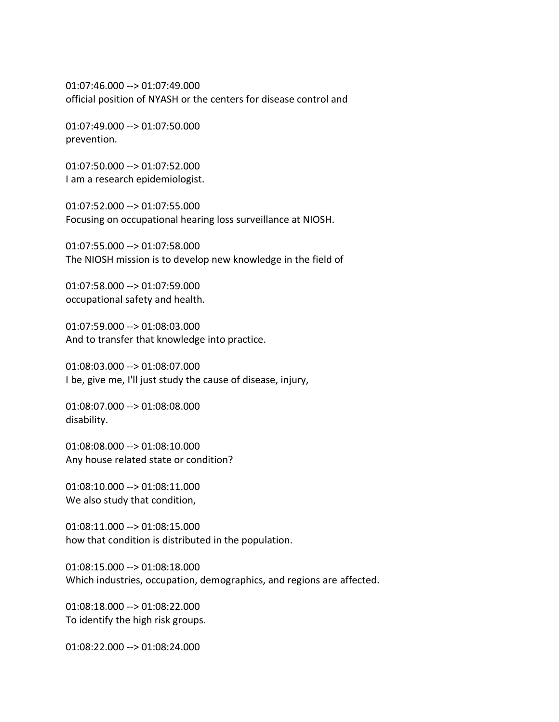01:07:46.000 --> 01:07:49.000 official position of NYASH or the centers for disease control and

01:07:49.000 --> 01:07:50.000 prevention.

01:07:50.000 --> 01:07:52.000 I am a research epidemiologist.

01:07:52.000 --> 01:07:55.000 Focusing on occupational hearing loss surveillance at NIOSH.

01:07:55.000 --> 01:07:58.000 The NIOSH mission is to develop new knowledge in the field of

01:07:58.000 --> 01:07:59.000 occupational safety and health.

01:07:59.000 --> 01:08:03.000 And to transfer that knowledge into practice.

01:08:03.000 --> 01:08:07.000 I be, give me, I'll just study the cause of disease, injury,

01:08:07.000 --> 01:08:08.000 disability.

01:08:08.000 --> 01:08:10.000 Any house related state or condition?

01:08:10.000 --> 01:08:11.000 We also study that condition,

01:08:11.000 --> 01:08:15.000 how that condition is distributed in the population.

01:08:15.000 --> 01:08:18.000 Which industries, occupation, demographics, and regions are affected.

01:08:18.000 --> 01:08:22.000 To identify the high risk groups.

01:08:22.000 --> 01:08:24.000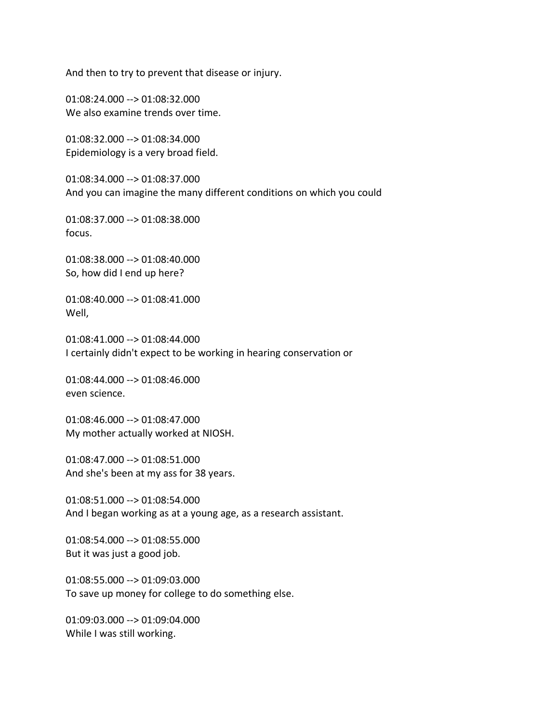And then to try to prevent that disease or injury.

01:08:24.000 --> 01:08:32.000 We also examine trends over time.

01:08:32.000 --> 01:08:34.000 Epidemiology is a very broad field.

01:08:34.000 --> 01:08:37.000 And you can imagine the many different conditions on which you could

01:08:37.000 --> 01:08:38.000 focus.

01:08:38.000 --> 01:08:40.000 So, how did I end up here?

01:08:40.000 --> 01:08:41.000 Well,

01:08:41.000 --> 01:08:44.000 I certainly didn't expect to be working in hearing conservation or

01:08:44.000 --> 01:08:46.000 even science.

01:08:46.000 --> 01:08:47.000 My mother actually worked at NIOSH.

01:08:47.000 --> 01:08:51.000 And she's been at my ass for 38 years.

01:08:51.000 --> 01:08:54.000 And I began working as at a young age, as a research assistant.

01:08:54.000 --> 01:08:55.000 But it was just a good job.

01:08:55.000 --> 01:09:03.000 To save up money for college to do something else.

01:09:03.000 --> 01:09:04.000 While I was still working.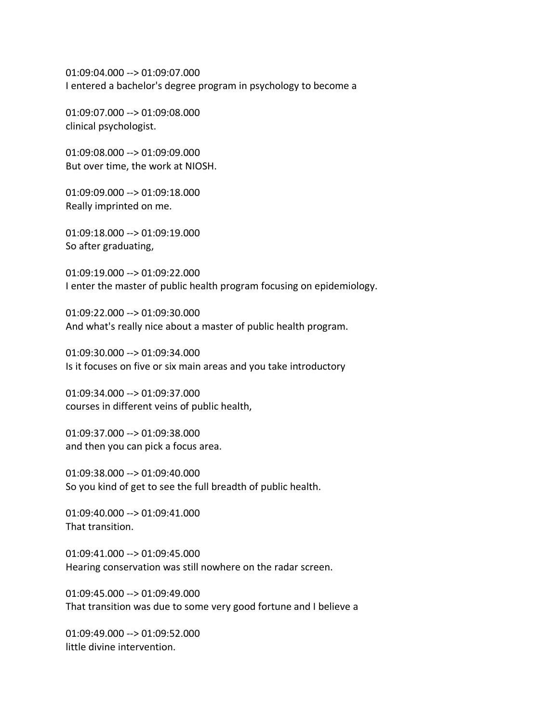01:09:04.000 --> 01:09:07.000 I entered a bachelor's degree program in psychology to become a

01:09:07.000 --> 01:09:08.000 clinical psychologist.

01:09:08.000 --> 01:09:09.000 But over time, the work at NIOSH.

01:09:09.000 --> 01:09:18.000 Really imprinted on me.

01:09:18.000 --> 01:09:19.000 So after graduating,

01:09:19.000 --> 01:09:22.000 I enter the master of public health program focusing on epidemiology.

01:09:22.000 --> 01:09:30.000 And what's really nice about a master of public health program.

01:09:30.000 --> 01:09:34.000 Is it focuses on five or six main areas and you take introductory

01:09:34.000 --> 01:09:37.000 courses in different veins of public health,

01:09:37.000 --> 01:09:38.000 and then you can pick a focus area.

01:09:38.000 --> 01:09:40.000 So you kind of get to see the full breadth of public health.

01:09:40.000 --> 01:09:41.000 That transition.

01:09:41.000 --> 01:09:45.000 Hearing conservation was still nowhere on the radar screen.

01:09:45.000 --> 01:09:49.000 That transition was due to some very good fortune and I believe a

 $01:09:49.000 \rightarrow 01:09:52.000$ little divine intervention.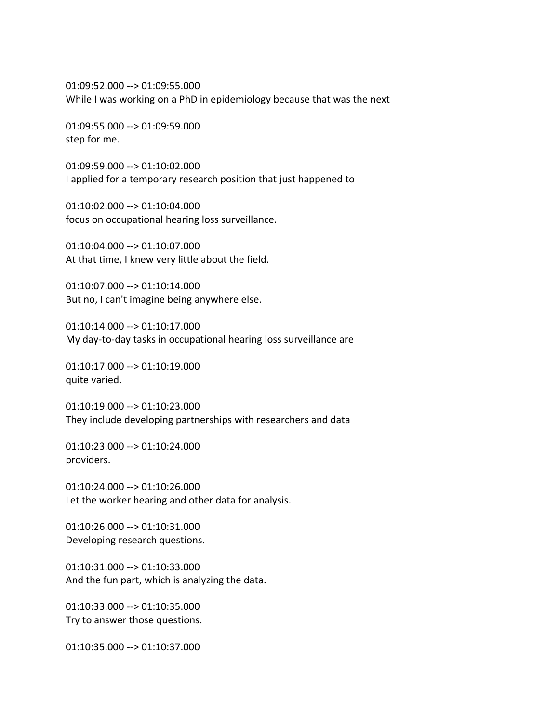01:09:52.000 --> 01:09:55.000 While I was working on a PhD in epidemiology because that was the next

01:09:55.000 --> 01:09:59.000 step for me.

01:09:59.000 --> 01:10:02.000 I applied for a temporary research position that just happened to

01:10:02.000 --> 01:10:04.000 focus on occupational hearing loss surveillance.

01:10:04.000 --> 01:10:07.000 At that time, I knew very little about the field.

01:10:07.000 --> 01:10:14.000 But no, I can't imagine being anywhere else.

01:10:14.000 --> 01:10:17.000 My day-to-day tasks in occupational hearing loss surveillance are

01:10:17.000 --> 01:10:19.000 quite varied.

01:10:19.000 --> 01:10:23.000 They include developing partnerships with researchers and data

01:10:23.000 --> 01:10:24.000 providers.

01:10:24.000 --> 01:10:26.000 Let the worker hearing and other data for analysis.

01:10:26.000 --> 01:10:31.000 Developing research questions.

01:10:31.000 --> 01:10:33.000 And the fun part, which is analyzing the data.

01:10:33.000 --> 01:10:35.000 Try to answer those questions.

01:10:35.000 --> 01:10:37.000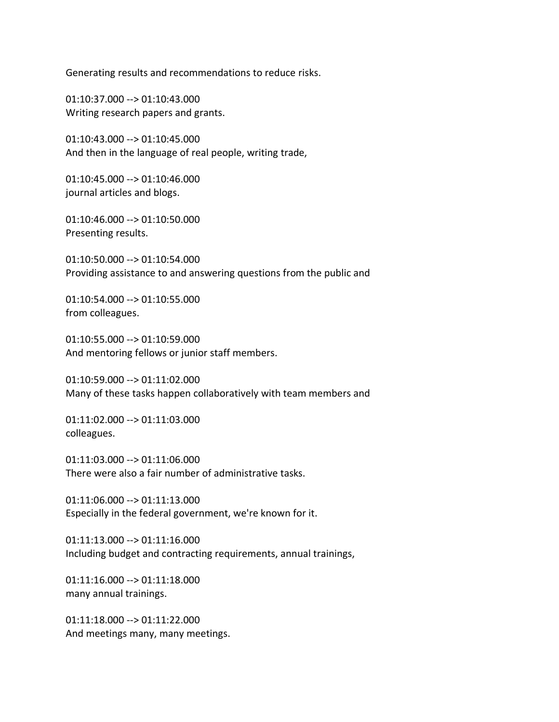Generating results and recommendations to reduce risks.

01:10:37.000 --> 01:10:43.000 Writing research papers and grants.

01:10:43.000 --> 01:10:45.000 And then in the language of real people, writing trade,

01:10:45.000 --> 01:10:46.000 journal articles and blogs.

01:10:46.000 --> 01:10:50.000 Presenting results.

01:10:50.000 --> 01:10:54.000 Providing assistance to and answering questions from the public and

01:10:54.000 --> 01:10:55.000 from colleagues.

01:10:55.000 --> 01:10:59.000 And mentoring fellows or junior staff members.

01:10:59.000 --> 01:11:02.000 Many of these tasks happen collaboratively with team members and

01:11:02.000 --> 01:11:03.000 colleagues.

01:11:03.000 --> 01:11:06.000 There were also a fair number of administrative tasks.

01:11:06.000 --> 01:11:13.000 Especially in the federal government, we're known for it.

01:11:13.000 --> 01:11:16.000 Including budget and contracting requirements, annual trainings,

01:11:16.000 --> 01:11:18.000 many annual trainings.

01:11:18.000 --> 01:11:22.000 And meetings many, many meetings.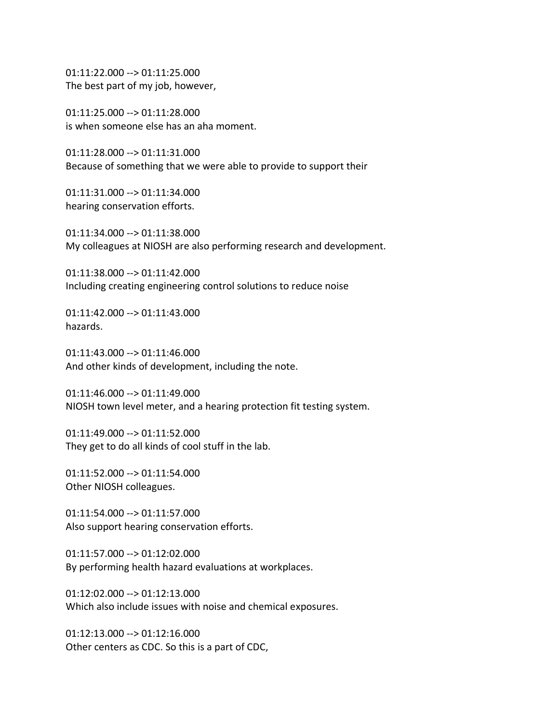01:11:22.000 --> 01:11:25.000 The best part of my job, however,

01:11:25.000 --> 01:11:28.000 is when someone else has an aha moment.

01:11:28.000 --> 01:11:31.000 Because of something that we were able to provide to support their

01:11:31.000 --> 01:11:34.000 hearing conservation efforts.

01:11:34.000 --> 01:11:38.000 My colleagues at NIOSH are also performing research and development.

01:11:38.000 --> 01:11:42.000 Including creating engineering control solutions to reduce noise

01:11:42.000 --> 01:11:43.000 hazards.

01:11:43.000 --> 01:11:46.000 And other kinds of development, including the note.

01:11:46.000 --> 01:11:49.000 NIOSH town level meter, and a hearing protection fit testing system.

01:11:49.000 --> 01:11:52.000 They get to do all kinds of cool stuff in the lab.

01:11:52.000 --> 01:11:54.000 Other NIOSH colleagues.

01:11:54.000 --> 01:11:57.000 Also support hearing conservation efforts.

01:11:57.000 --> 01:12:02.000 By performing health hazard evaluations at workplaces.

01:12:02.000 --> 01:12:13.000 Which also include issues with noise and chemical exposures.

 $01:12:13.000 \rightarrow 01:12:16.000$ Other centers as CDC. So this is a part of CDC,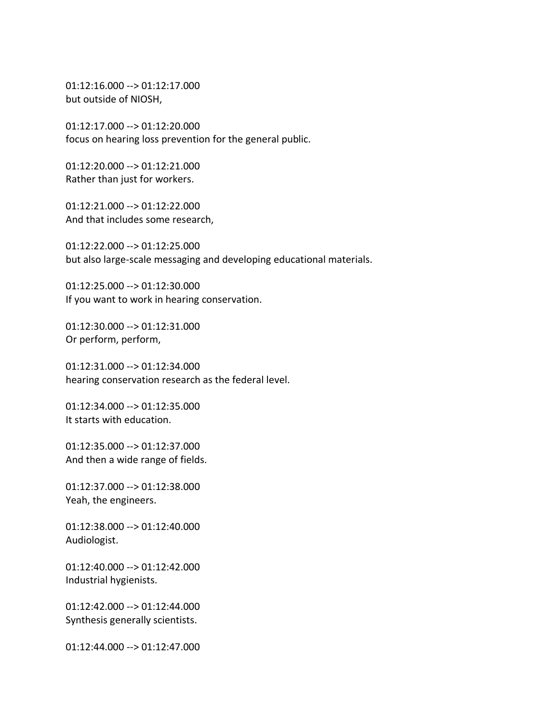01:12:16.000 --> 01:12:17.000 but outside of NIOSH,

01:12:17.000 --> 01:12:20.000 focus on hearing loss prevention for the general public.

01:12:20.000 --> 01:12:21.000 Rather than just for workers.

01:12:21.000 --> 01:12:22.000 And that includes some research,

01:12:22.000 --> 01:12:25.000 but also large-scale messaging and developing educational materials.

01:12:25.000 --> 01:12:30.000 If you want to work in hearing conservation.

01:12:30.000 --> 01:12:31.000 Or perform, perform,

01:12:31.000 --> 01:12:34.000 hearing conservation research as the federal level.

01:12:34.000 --> 01:12:35.000 It starts with education.

01:12:35.000 --> 01:12:37.000 And then a wide range of fields.

01:12:37.000 --> 01:12:38.000 Yeah, the engineers.

01:12:38.000 --> 01:12:40.000 Audiologist.

01:12:40.000 --> 01:12:42.000 Industrial hygienists.

01:12:42.000 --> 01:12:44.000 Synthesis generally scientists.

01:12:44.000 --> 01:12:47.000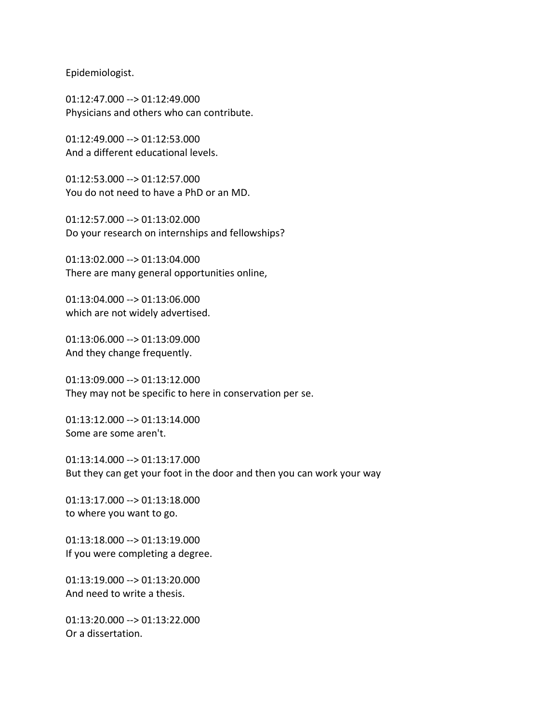Epidemiologist.

01:12:47.000 --> 01:12:49.000 Physicians and others who can contribute.

01:12:49.000 --> 01:12:53.000 And a different educational levels.

01:12:53.000 --> 01:12:57.000 You do not need to have a PhD or an MD.

01:12:57.000 --> 01:13:02.000 Do your research on internships and fellowships?

01:13:02.000 --> 01:13:04.000 There are many general opportunities online,

01:13:04.000 --> 01:13:06.000 which are not widely advertised.

01:13:06.000 --> 01:13:09.000 And they change frequently.

01:13:09.000 --> 01:13:12.000 They may not be specific to here in conservation per se.

01:13:12.000 --> 01:13:14.000 Some are some aren't.

01:13:14.000 --> 01:13:17.000 But they can get your foot in the door and then you can work your way

01:13:17.000 --> 01:13:18.000 to where you want to go.

01:13:18.000 --> 01:13:19.000 If you were completing a degree.

01:13:19.000 --> 01:13:20.000 And need to write a thesis.

01:13:20.000 --> 01:13:22.000 Or a dissertation.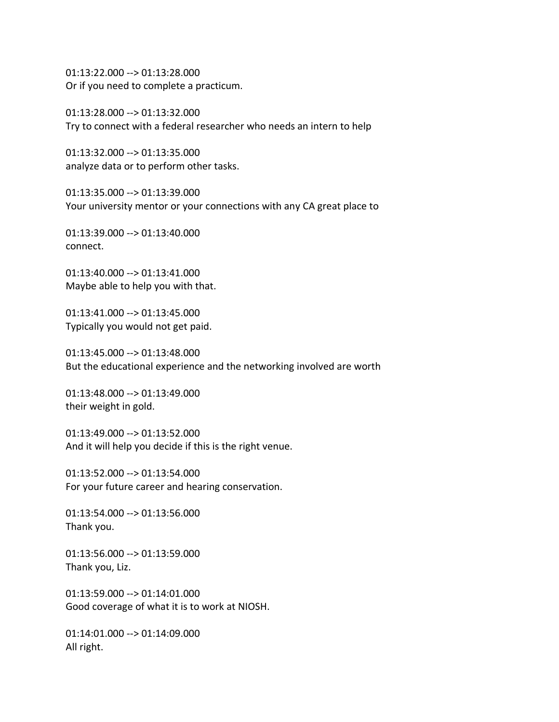01:13:22.000 --> 01:13:28.000 Or if you need to complete a practicum.

01:13:28.000 --> 01:13:32.000 Try to connect with a federal researcher who needs an intern to help

01:13:32.000 --> 01:13:35.000 analyze data or to perform other tasks.

01:13:35.000 --> 01:13:39.000 Your university mentor or your connections with any CA great place to

01:13:39.000 --> 01:13:40.000 connect.

01:13:40.000 --> 01:13:41.000 Maybe able to help you with that.

01:13:41.000 --> 01:13:45.000 Typically you would not get paid.

01:13:45.000 --> 01:13:48.000 But the educational experience and the networking involved are worth

01:13:48.000 --> 01:13:49.000 their weight in gold.

01:13:49.000 --> 01:13:52.000 And it will help you decide if this is the right venue.

01:13:52.000 --> 01:13:54.000 For your future career and hearing conservation.

01:13:54.000 --> 01:13:56.000 Thank you.

01:13:56.000 --> 01:13:59.000 Thank you, Liz.

01:13:59.000 --> 01:14:01.000 Good coverage of what it is to work at NIOSH.

01:14:01.000 --> 01:14:09.000 All right.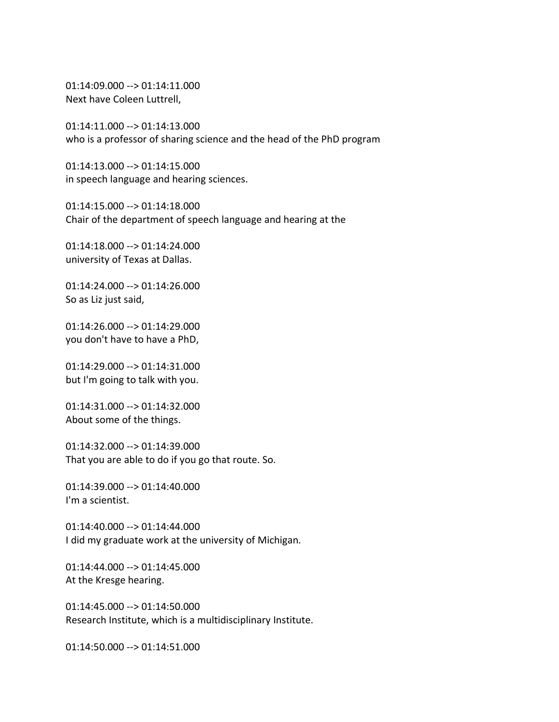01:14:09.000 --> 01:14:11.000 Next have Coleen Luttrell,

01:14:11.000 --> 01:14:13.000 who is a professor of sharing science and the head of the PhD program

01:14:13.000 --> 01:14:15.000 in speech language and hearing sciences.

01:14:15.000 --> 01:14:18.000 Chair of the department of speech language and hearing at the

01:14:18.000 --> 01:14:24.000 university of Texas at Dallas.

01:14:24.000 --> 01:14:26.000 So as Liz just said,

01:14:26.000 --> 01:14:29.000 you don't have to have a PhD,

01:14:29.000 --> 01:14:31.000 but I'm going to talk with you.

01:14:31.000 --> 01:14:32.000 About some of the things.

01:14:32.000 --> 01:14:39.000 That you are able to do if you go that route. So.

01:14:39.000 --> 01:14:40.000 I'm a scientist.

01:14:40.000 --> 01:14:44.000 I did my graduate work at the university of Michigan.

01:14:44.000 --> 01:14:45.000 At the Kresge hearing.

01:14:45.000 --> 01:14:50.000 Research Institute, which is a multidisciplinary Institute.

01:14:50.000 --> 01:14:51.000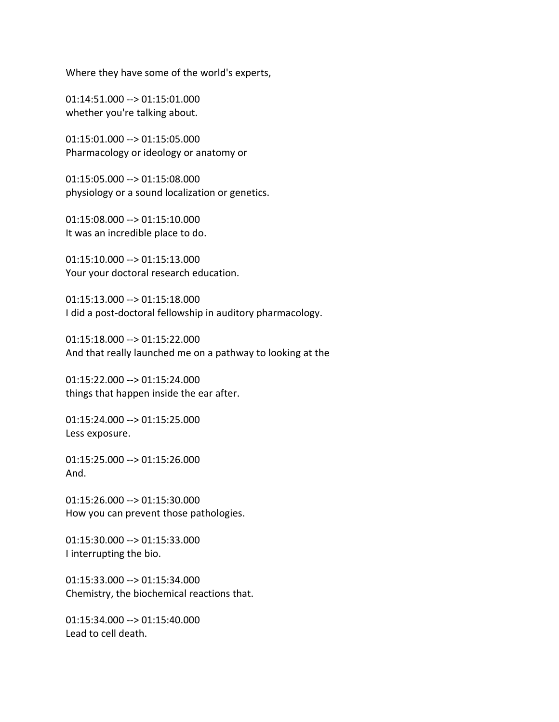Where they have some of the world's experts,

01:14:51.000 --> 01:15:01.000 whether you're talking about.

01:15:01.000 --> 01:15:05.000 Pharmacology or ideology or anatomy or

01:15:05.000 --> 01:15:08.000 physiology or a sound localization or genetics.

01:15:08.000 --> 01:15:10.000 It was an incredible place to do.

01:15:10.000 --> 01:15:13.000 Your your doctoral research education.

01:15:13.000 --> 01:15:18.000 I did a post-doctoral fellowship in auditory pharmacology.

01:15:18.000 --> 01:15:22.000 And that really launched me on a pathway to looking at the

01:15:22.000 --> 01:15:24.000 things that happen inside the ear after.

01:15:24.000 --> 01:15:25.000 Less exposure.

01:15:25.000 --> 01:15:26.000 And.

01:15:26.000 --> 01:15:30.000 How you can prevent those pathologies.

01:15:30.000 --> 01:15:33.000 I interrupting the bio.

01:15:33.000 --> 01:15:34.000 Chemistry, the biochemical reactions that.

01:15:34.000 --> 01:15:40.000 Lead to cell death.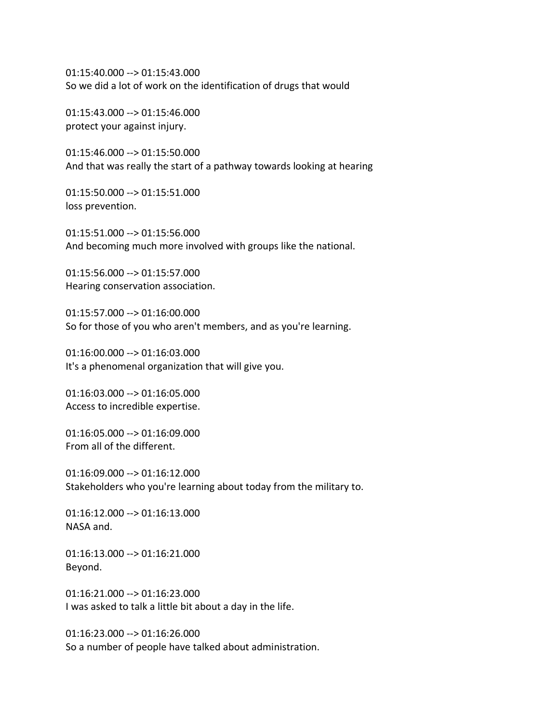01:15:40.000 --> 01:15:43.000 So we did a lot of work on the identification of drugs that would

01:15:43.000 --> 01:15:46.000 protect your against injury.

01:15:46.000 --> 01:15:50.000 And that was really the start of a pathway towards looking at hearing

01:15:50.000 --> 01:15:51.000 loss prevention.

01:15:51.000 --> 01:15:56.000 And becoming much more involved with groups like the national.

01:15:56.000 --> 01:15:57.000 Hearing conservation association.

01:15:57.000 --> 01:16:00.000 So for those of you who aren't members, and as you're learning.

01:16:00.000 --> 01:16:03.000 It's a phenomenal organization that will give you.

01:16:03.000 --> 01:16:05.000 Access to incredible expertise.

01:16:05.000 --> 01:16:09.000 From all of the different.

01:16:09.000 --> 01:16:12.000 Stakeholders who you're learning about today from the military to.

01:16:12.000 --> 01:16:13.000 NASA and.

01:16:13.000 --> 01:16:21.000 Beyond.

01:16:21.000 --> 01:16:23.000 I was asked to talk a little bit about a day in the life.

01:16:23.000 --> 01:16:26.000 So a number of people have talked about administration.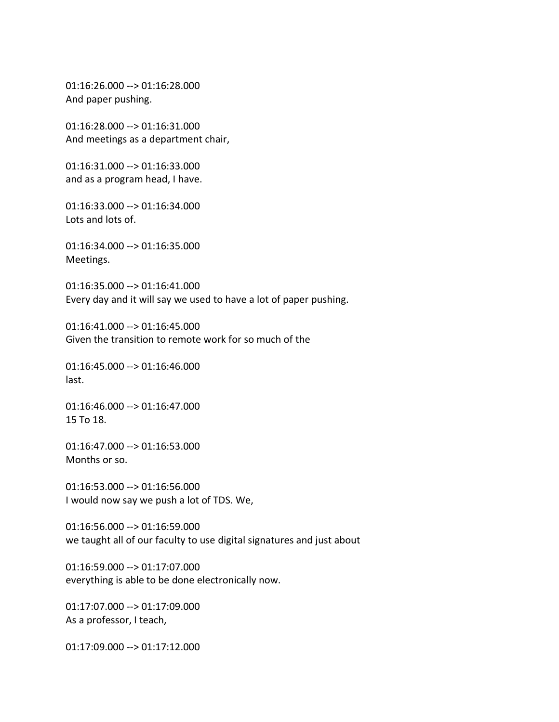01:16:26.000 --> 01:16:28.000 And paper pushing.

01:16:28.000 --> 01:16:31.000 And meetings as a department chair,

01:16:31.000 --> 01:16:33.000 and as a program head, I have.

01:16:33.000 --> 01:16:34.000 Lots and lots of.

01:16:34.000 --> 01:16:35.000 Meetings.

01:16:35.000 --> 01:16:41.000 Every day and it will say we used to have a lot of paper pushing.

01:16:41.000 --> 01:16:45.000 Given the transition to remote work for so much of the

01:16:45.000 --> 01:16:46.000 last.

01:16:46.000 --> 01:16:47.000 15 To 18.

01:16:47.000 --> 01:16:53.000 Months or so.

01:16:53.000 --> 01:16:56.000 I would now say we push a lot of TDS. We,

01:16:56.000 --> 01:16:59.000 we taught all of our faculty to use digital signatures and just about

01:16:59.000 --> 01:17:07.000 everything is able to be done electronically now.

01:17:07.000 --> 01:17:09.000 As a professor, I teach,

01:17:09.000 --> 01:17:12.000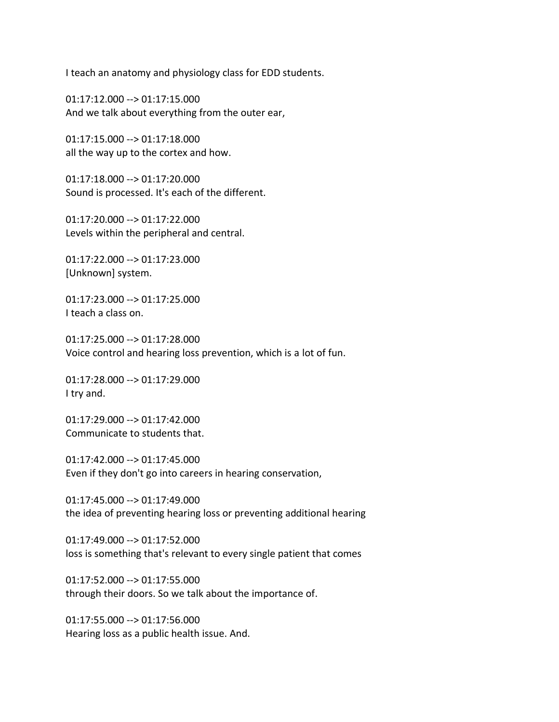I teach an anatomy and physiology class for EDD students.

01:17:12.000 --> 01:17:15.000 And we talk about everything from the outer ear,

01:17:15.000 --> 01:17:18.000 all the way up to the cortex and how.

01:17:18.000 --> 01:17:20.000 Sound is processed. It's each of the different.

01:17:20.000 --> 01:17:22.000 Levels within the peripheral and central.

01:17:22.000 --> 01:17:23.000 [Unknown] system.

01:17:23.000 --> 01:17:25.000 I teach a class on.

01:17:25.000 --> 01:17:28.000 Voice control and hearing loss prevention, which is a lot of fun.

01:17:28.000 --> 01:17:29.000 I try and.

01:17:29.000 --> 01:17:42.000 Communicate to students that.

01:17:42.000 --> 01:17:45.000 Even if they don't go into careers in hearing conservation,

01:17:45.000 --> 01:17:49.000 the idea of preventing hearing loss or preventing additional hearing

01:17:49.000 --> 01:17:52.000 loss is something that's relevant to every single patient that comes

01:17:52.000 --> 01:17:55.000 through their doors. So we talk about the importance of.

01:17:55.000 --> 01:17:56.000 Hearing loss as a public health issue. And.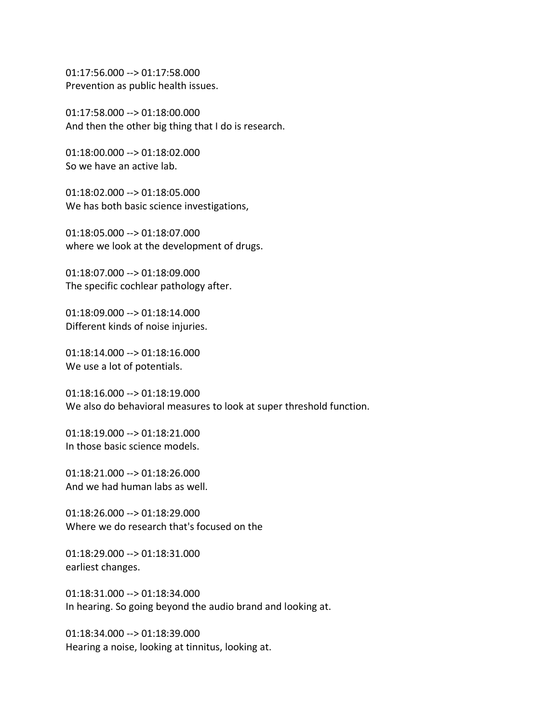01:17:56.000 --> 01:17:58.000 Prevention as public health issues.

01:17:58.000 --> 01:18:00.000 And then the other big thing that I do is research.

01:18:00.000 --> 01:18:02.000 So we have an active lab.

01:18:02.000 --> 01:18:05.000 We has both basic science investigations,

01:18:05.000 --> 01:18:07.000 where we look at the development of drugs.

01:18:07.000 --> 01:18:09.000 The specific cochlear pathology after.

01:18:09.000 --> 01:18:14.000 Different kinds of noise injuries.

01:18:14.000 --> 01:18:16.000 We use a lot of potentials.

01:18:16.000 --> 01:18:19.000 We also do behavioral measures to look at super threshold function.

01:18:19.000 --> 01:18:21.000 In those basic science models.

01:18:21.000 --> 01:18:26.000 And we had human labs as well.

01:18:26.000 --> 01:18:29.000 Where we do research that's focused on the

01:18:29.000 --> 01:18:31.000 earliest changes.

01:18:31.000 --> 01:18:34.000 In hearing. So going beyond the audio brand and looking at.

01:18:34.000 --> 01:18:39.000 Hearing a noise, looking at tinnitus, looking at.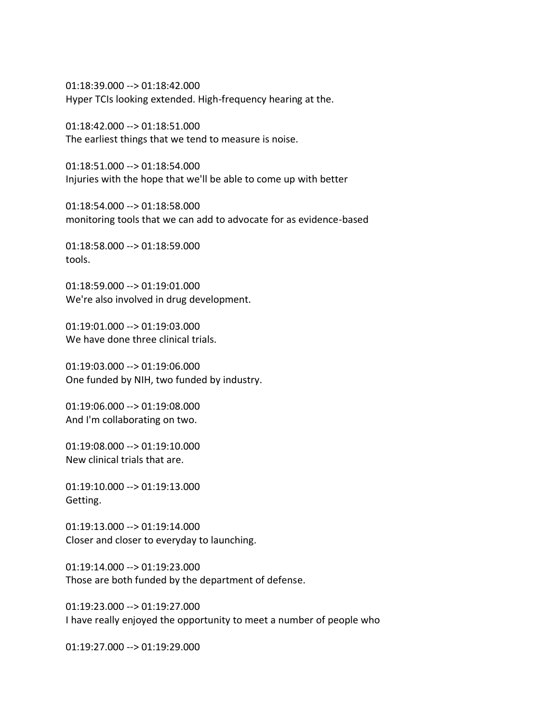01:18:39.000 --> 01:18:42.000 Hyper TCIs looking extended. High-frequency hearing at the.

01:18:42.000 --> 01:18:51.000 The earliest things that we tend to measure is noise.

01:18:51.000 --> 01:18:54.000 Injuries with the hope that we'll be able to come up with better

01:18:54.000 --> 01:18:58.000 monitoring tools that we can add to advocate for as evidence-based

01:18:58.000 --> 01:18:59.000 tools.

01:18:59.000 --> 01:19:01.000 We're also involved in drug development.

01:19:01.000 --> 01:19:03.000 We have done three clinical trials.

01:19:03.000 --> 01:19:06.000 One funded by NIH, two funded by industry.

01:19:06.000 --> 01:19:08.000 And I'm collaborating on two.

01:19:08.000 --> 01:19:10.000 New clinical trials that are.

01:19:10.000 --> 01:19:13.000 Getting.

01:19:13.000 --> 01:19:14.000 Closer and closer to everyday to launching.

01:19:14.000 --> 01:19:23.000 Those are both funded by the department of defense.

01:19:23.000 --> 01:19:27.000 I have really enjoyed the opportunity to meet a number of people who

01:19:27.000 --> 01:19:29.000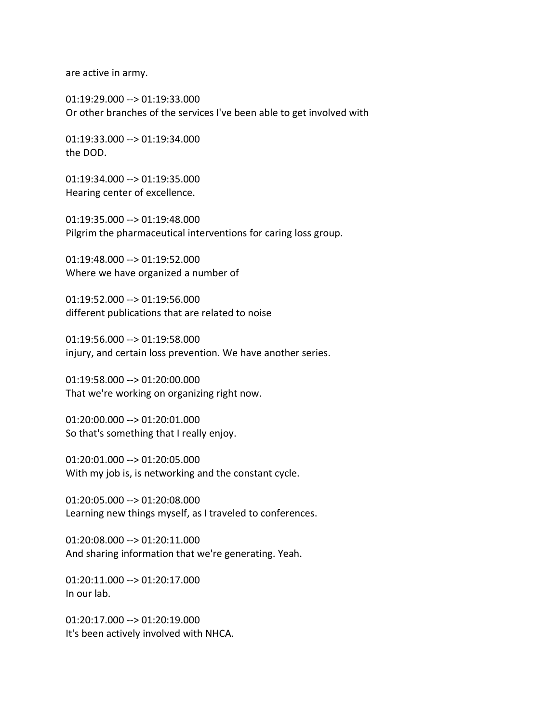are active in army.

01:19:29.000 --> 01:19:33.000 Or other branches of the services I've been able to get involved with

01:19:33.000 --> 01:19:34.000 the DOD.

01:19:34.000 --> 01:19:35.000 Hearing center of excellence.

01:19:35.000 --> 01:19:48.000 Pilgrim the pharmaceutical interventions for caring loss group.

01:19:48.000 --> 01:19:52.000 Where we have organized a number of

01:19:52.000 --> 01:19:56.000 different publications that are related to noise

01:19:56.000 --> 01:19:58.000 injury, and certain loss prevention. We have another series.

01:19:58.000 --> 01:20:00.000 That we're working on organizing right now.

01:20:00.000 --> 01:20:01.000 So that's something that I really enjoy.

01:20:01.000 --> 01:20:05.000 With my job is, is networking and the constant cycle.

01:20:05.000 --> 01:20:08.000 Learning new things myself, as I traveled to conferences.

01:20:08.000 --> 01:20:11.000 And sharing information that we're generating. Yeah.

01:20:11.000 --> 01:20:17.000 In our lab.

01:20:17.000 --> 01:20:19.000 It's been actively involved with NHCA.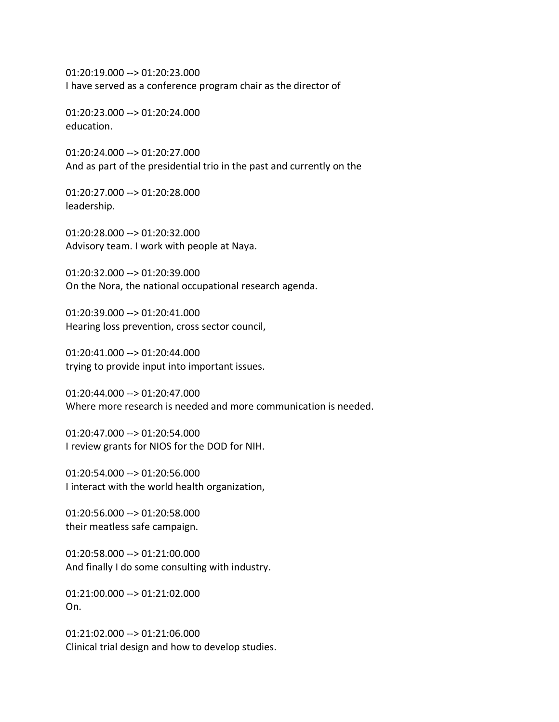01:20:19.000 --> 01:20:23.000 I have served as a conference program chair as the director of

01:20:23.000 --> 01:20:24.000 education.

01:20:24.000 --> 01:20:27.000 And as part of the presidential trio in the past and currently on the

01:20:27.000 --> 01:20:28.000 leadership.

01:20:28.000 --> 01:20:32.000 Advisory team. I work with people at Naya.

01:20:32.000 --> 01:20:39.000 On the Nora, the national occupational research agenda.

01:20:39.000 --> 01:20:41.000 Hearing loss prevention, cross sector council,

01:20:41.000 --> 01:20:44.000 trying to provide input into important issues.

01:20:44.000 --> 01:20:47.000 Where more research is needed and more communication is needed.

01:20:47.000 --> 01:20:54.000 I review grants for NIOS for the DOD for NIH.

01:20:54.000 --> 01:20:56.000 I interact with the world health organization,

01:20:56.000 --> 01:20:58.000 their meatless safe campaign.

01:20:58.000 --> 01:21:00.000 And finally I do some consulting with industry.

01:21:00.000 --> 01:21:02.000 On.

01:21:02.000 --> 01:21:06.000 Clinical trial design and how to develop studies.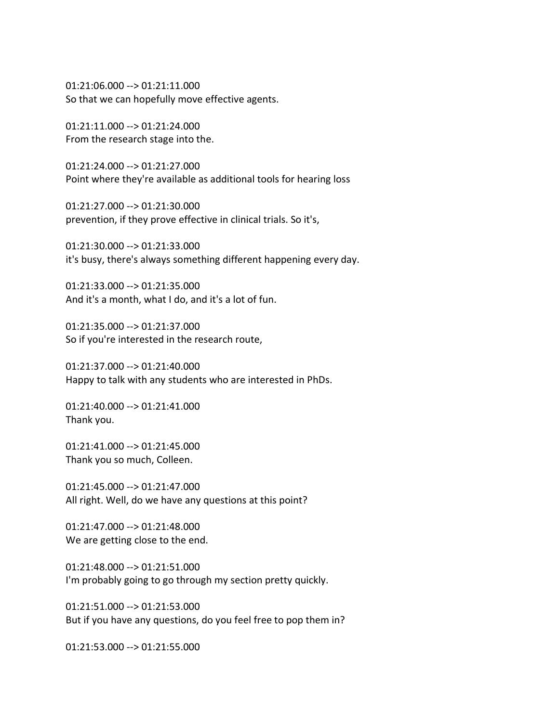01:21:06.000 --> 01:21:11.000 So that we can hopefully move effective agents.

01:21:11.000 --> 01:21:24.000 From the research stage into the.

01:21:24.000 --> 01:21:27.000 Point where they're available as additional tools for hearing loss

01:21:27.000 --> 01:21:30.000 prevention, if they prove effective in clinical trials. So it's,

01:21:30.000 --> 01:21:33.000 it's busy, there's always something different happening every day.

01:21:33.000 --> 01:21:35.000 And it's a month, what I do, and it's a lot of fun.

01:21:35.000 --> 01:21:37.000 So if you're interested in the research route,

01:21:37.000 --> 01:21:40.000 Happy to talk with any students who are interested in PhDs.

01:21:40.000 --> 01:21:41.000 Thank you.

01:21:41.000 --> 01:21:45.000 Thank you so much, Colleen.

01:21:45.000 --> 01:21:47.000 All right. Well, do we have any questions at this point?

01:21:47.000 --> 01:21:48.000 We are getting close to the end.

01:21:48.000 --> 01:21:51.000 I'm probably going to go through my section pretty quickly.

01:21:51.000 --> 01:21:53.000 But if you have any questions, do you feel free to pop them in?

01:21:53.000 --> 01:21:55.000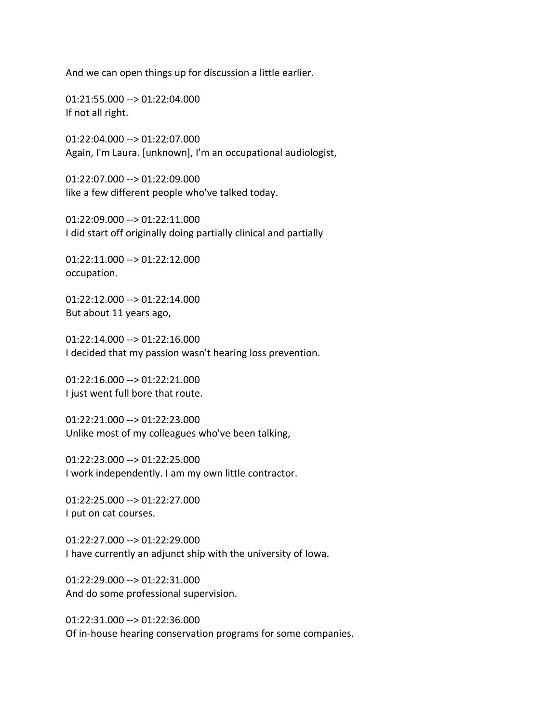And we can open things up for discussion a little earlier.

01:21:55.000 --> 01:22:04.000 If not all right.

01:22:04.000 --> 01:22:07.000 Again, I'm Laura. [unknown], I'm an occupational audiologist,

01:22:07.000 --> 01:22:09.000 like a few different people who've talked today.

01:22:09.000 --> 01:22:11.000 I did start off originally doing partially clinical and partially

01:22:11.000 --> 01:22:12.000 occupation.

01:22:12.000 --> 01:22:14.000 But about 11 years ago,

01:22:14.000 --> 01:22:16.000 I decided that my passion wasn't hearing loss prevention.

01:22:16.000 --> 01:22:21.000 I just went full bore that route.

01:22:21.000 --> 01:22:23.000 Unlike most of my colleagues who've been talking,

01:22:23.000 --> 01:22:25.000 I work independently. I am my own little contractor.

01:22:25.000 --> 01:22:27.000 I put on cat courses.

01:22:27.000 --> 01:22:29.000 I have currently an adjunct ship with the university of Iowa.

01:22:29.000 --> 01:22:31.000 And do some professional supervision.

01:22:31.000 --> 01:22:36.000 Of in-house hearing conservation programs for some companies.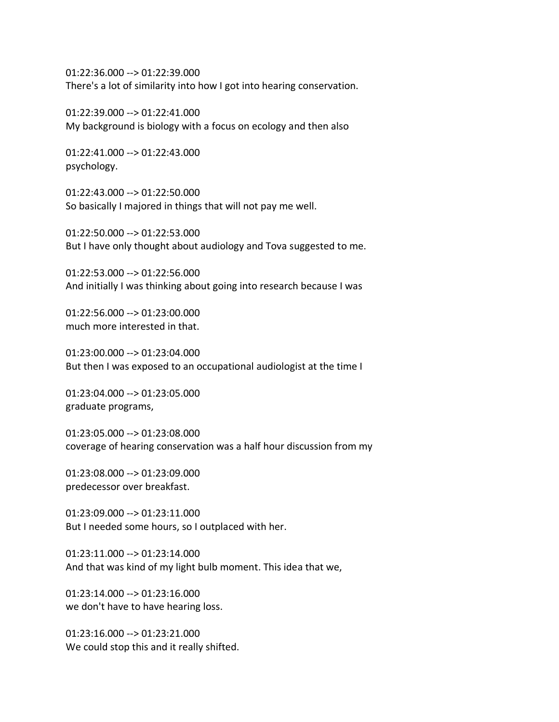01:22:36.000 --> 01:22:39.000 There's a lot of similarity into how I got into hearing conservation.

01:22:39.000 --> 01:22:41.000 My background is biology with a focus on ecology and then also

01:22:41.000 --> 01:22:43.000 psychology.

01:22:43.000 --> 01:22:50.000 So basically I majored in things that will not pay me well.

01:22:50.000 --> 01:22:53.000 But I have only thought about audiology and Tova suggested to me.

01:22:53.000 --> 01:22:56.000 And initially I was thinking about going into research because I was

01:22:56.000 --> 01:23:00.000 much more interested in that.

01:23:00.000 --> 01:23:04.000 But then I was exposed to an occupational audiologist at the time I

01:23:04.000 --> 01:23:05.000 graduate programs,

01:23:05.000 --> 01:23:08.000 coverage of hearing conservation was a half hour discussion from my

01:23:08.000 --> 01:23:09.000 predecessor over breakfast.

01:23:09.000 --> 01:23:11.000 But I needed some hours, so I outplaced with her.

01:23:11.000 --> 01:23:14.000 And that was kind of my light bulb moment. This idea that we,

01:23:14.000 --> 01:23:16.000 we don't have to have hearing loss.

01:23:16.000 --> 01:23:21.000 We could stop this and it really shifted.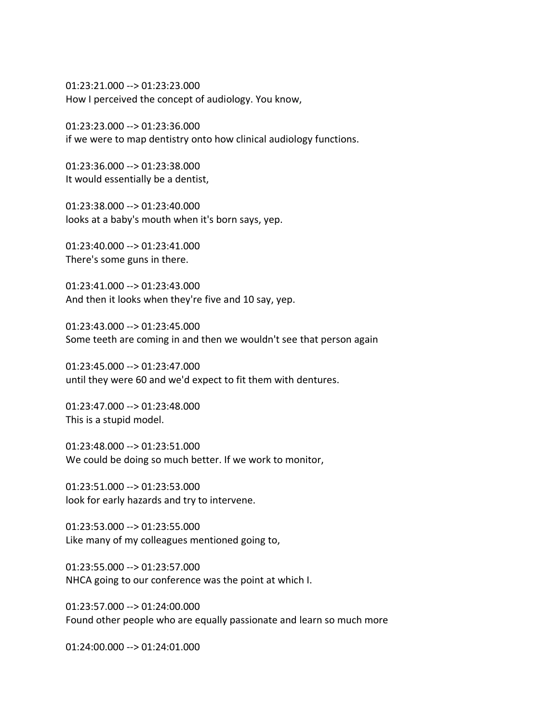01:23:21.000 --> 01:23:23.000 How I perceived the concept of audiology. You know,

01:23:23.000 --> 01:23:36.000 if we were to map dentistry onto how clinical audiology functions.

01:23:36.000 --> 01:23:38.000 It would essentially be a dentist,

01:23:38.000 --> 01:23:40.000 looks at a baby's mouth when it's born says, yep.

01:23:40.000 --> 01:23:41.000 There's some guns in there.

01:23:41.000 --> 01:23:43.000 And then it looks when they're five and 10 say, yep.

01:23:43.000 --> 01:23:45.000 Some teeth are coming in and then we wouldn't see that person again

01:23:45.000 --> 01:23:47.000 until they were 60 and we'd expect to fit them with dentures.

01:23:47.000 --> 01:23:48.000 This is a stupid model.

01:23:48.000 --> 01:23:51.000 We could be doing so much better. If we work to monitor,

01:23:51.000 --> 01:23:53.000 look for early hazards and try to intervene.

01:23:53.000 --> 01:23:55.000 Like many of my colleagues mentioned going to,

01:23:55.000 --> 01:23:57.000 NHCA going to our conference was the point at which I.

01:23:57.000 --> 01:24:00.000 Found other people who are equally passionate and learn so much more

01:24:00.000 --> 01:24:01.000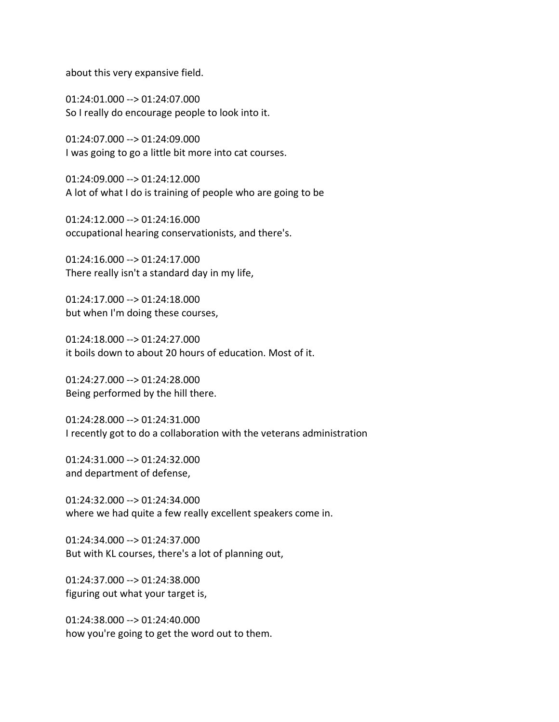about this very expansive field.

01:24:01.000 --> 01:24:07.000 So I really do encourage people to look into it.

01:24:07.000 --> 01:24:09.000 I was going to go a little bit more into cat courses.

01:24:09.000 --> 01:24:12.000 A lot of what I do is training of people who are going to be

01:24:12.000 --> 01:24:16.000 occupational hearing conservationists, and there's.

01:24:16.000 --> 01:24:17.000 There really isn't a standard day in my life,

01:24:17.000 --> 01:24:18.000 but when I'm doing these courses,

01:24:18.000 --> 01:24:27.000 it boils down to about 20 hours of education. Most of it.

01:24:27.000 --> 01:24:28.000 Being performed by the hill there.

01:24:28.000 --> 01:24:31.000 I recently got to do a collaboration with the veterans administration

01:24:31.000 --> 01:24:32.000 and department of defense,

01:24:32.000 --> 01:24:34.000 where we had quite a few really excellent speakers come in.

01:24:34.000 --> 01:24:37.000 But with KL courses, there's a lot of planning out,

01:24:37.000 --> 01:24:38.000 figuring out what your target is,

01:24:38.000 --> 01:24:40.000 how you're going to get the word out to them.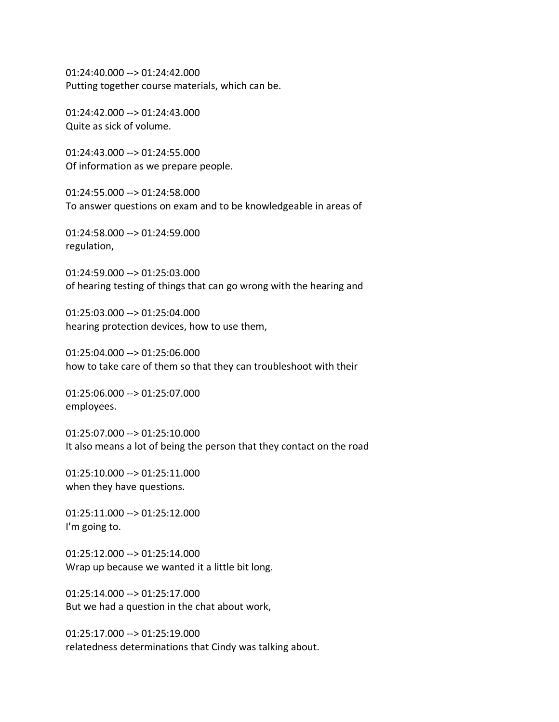01:24:40.000 --> 01:24:42.000 Putting together course materials, which can be.

01:24:42.000 --> 01:24:43.000 Quite as sick of volume.

01:24:43.000 --> 01:24:55.000 Of information as we prepare people.

01:24:55.000 --> 01:24:58.000 To answer questions on exam and to be knowledgeable in areas of

01:24:58.000 --> 01:24:59.000 regulation,

01:24:59.000 --> 01:25:03.000 of hearing testing of things that can go wrong with the hearing and

01:25:03.000 --> 01:25:04.000 hearing protection devices, how to use them,

01:25:04.000 --> 01:25:06.000 how to take care of them so that they can troubleshoot with their

01:25:06.000 --> 01:25:07.000 employees.

01:25:07.000 --> 01:25:10.000 It also means a lot of being the person that they contact on the road

01:25:10.000 --> 01:25:11.000 when they have questions.

01:25:11.000 --> 01:25:12.000 I'm going to.

01:25:12.000 --> 01:25:14.000 Wrap up because we wanted it a little bit long.

01:25:14.000 --> 01:25:17.000 But we had a question in the chat about work,

01:25:17.000 --> 01:25:19.000 relatedness determinations that Cindy was talking about.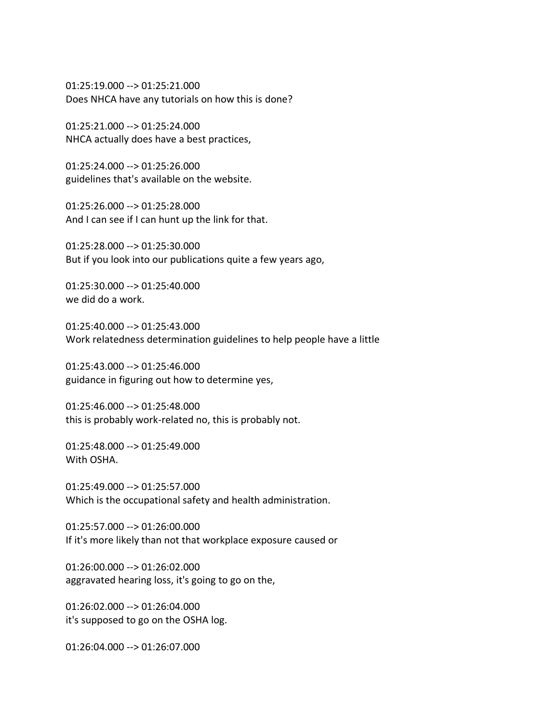01:25:19.000 --> 01:25:21.000 Does NHCA have any tutorials on how this is done?

01:25:21.000 --> 01:25:24.000 NHCA actually does have a best practices,

01:25:24.000 --> 01:25:26.000 guidelines that's available on the website.

01:25:26.000 --> 01:25:28.000 And I can see if I can hunt up the link for that.

01:25:28.000 --> 01:25:30.000 But if you look into our publications quite a few years ago,

01:25:30.000 --> 01:25:40.000 we did do a work.

01:25:40.000 --> 01:25:43.000 Work relatedness determination guidelines to help people have a little

01:25:43.000 --> 01:25:46.000 guidance in figuring out how to determine yes,

01:25:46.000 --> 01:25:48.000 this is probably work-related no, this is probably not.

01:25:48.000 --> 01:25:49.000 With OSHA.

01:25:49.000 --> 01:25:57.000 Which is the occupational safety and health administration.

01:25:57.000 --> 01:26:00.000 If it's more likely than not that workplace exposure caused or

01:26:00.000 --> 01:26:02.000 aggravated hearing loss, it's going to go on the,

01:26:02.000 --> 01:26:04.000 it's supposed to go on the OSHA log.

01:26:04.000 --> 01:26:07.000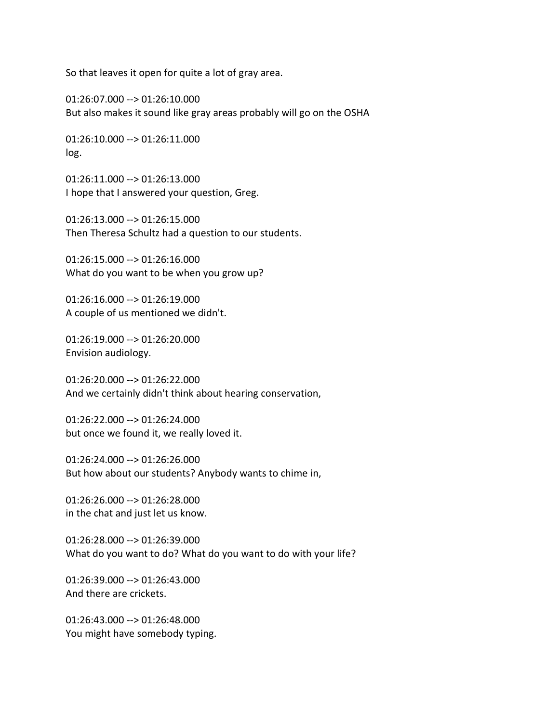So that leaves it open for quite a lot of gray area.

01:26:07.000 --> 01:26:10.000 But also makes it sound like gray areas probably will go on the OSHA

01:26:10.000 --> 01:26:11.000 log.

01:26:11.000 --> 01:26:13.000 I hope that I answered your question, Greg.

01:26:13.000 --> 01:26:15.000 Then Theresa Schultz had a question to our students.

01:26:15.000 --> 01:26:16.000 What do you want to be when you grow up?

01:26:16.000 --> 01:26:19.000 A couple of us mentioned we didn't.

01:26:19.000 --> 01:26:20.000 Envision audiology.

01:26:20.000 --> 01:26:22.000 And we certainly didn't think about hearing conservation,

01:26:22.000 --> 01:26:24.000 but once we found it, we really loved it.

01:26:24.000 --> 01:26:26.000 But how about our students? Anybody wants to chime in,

01:26:26.000 --> 01:26:28.000 in the chat and just let us know.

01:26:28.000 --> 01:26:39.000 What do you want to do? What do you want to do with your life?

01:26:39.000 --> 01:26:43.000 And there are crickets.

01:26:43.000 --> 01:26:48.000 You might have somebody typing.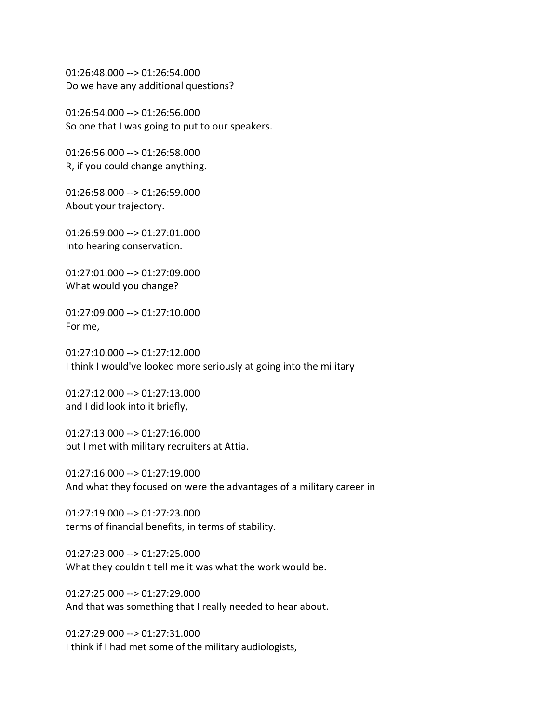01:26:48.000 --> 01:26:54.000 Do we have any additional questions?

01:26:54.000 --> 01:26:56.000 So one that I was going to put to our speakers.

01:26:56.000 --> 01:26:58.000 R, if you could change anything.

01:26:58.000 --> 01:26:59.000 About your trajectory.

01:26:59.000 --> 01:27:01.000 Into hearing conservation.

01:27:01.000 --> 01:27:09.000 What would you change?

01:27:09.000 --> 01:27:10.000 For me,

01:27:10.000 --> 01:27:12.000 I think I would've looked more seriously at going into the military

01:27:12.000 --> 01:27:13.000 and I did look into it briefly,

01:27:13.000 --> 01:27:16.000 but I met with military recruiters at Attia.

01:27:16.000 --> 01:27:19.000 And what they focused on were the advantages of a military career in

01:27:19.000 --> 01:27:23.000 terms of financial benefits, in terms of stability.

01:27:23.000 --> 01:27:25.000 What they couldn't tell me it was what the work would be.

01:27:25.000 --> 01:27:29.000 And that was something that I really needed to hear about.

01:27:29.000 --> 01:27:31.000 I think if I had met some of the military audiologists,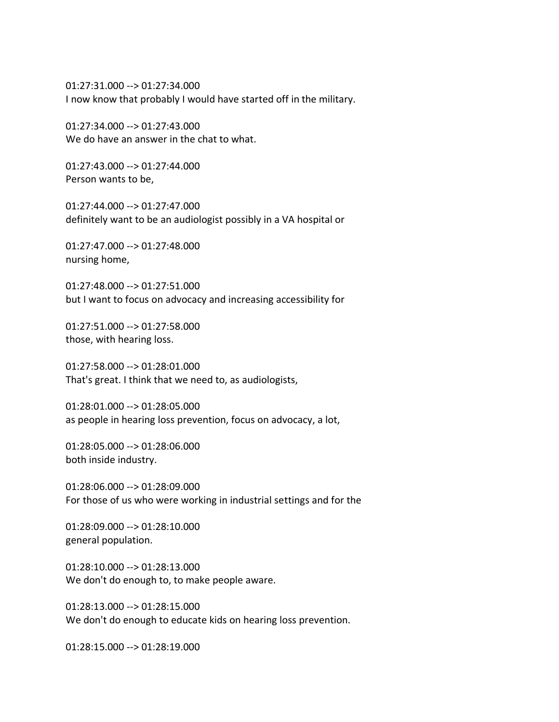01:27:31.000 --> 01:27:34.000 I now know that probably I would have started off in the military.

01:27:34.000 --> 01:27:43.000 We do have an answer in the chat to what.

01:27:43.000 --> 01:27:44.000 Person wants to be,

01:27:44.000 --> 01:27:47.000 definitely want to be an audiologist possibly in a VA hospital or

01:27:47.000 --> 01:27:48.000 nursing home,

01:27:48.000 --> 01:27:51.000 but I want to focus on advocacy and increasing accessibility for

01:27:51.000 --> 01:27:58.000 those, with hearing loss.

01:27:58.000 --> 01:28:01.000 That's great. I think that we need to, as audiologists,

01:28:01.000 --> 01:28:05.000 as people in hearing loss prevention, focus on advocacy, a lot,

01:28:05.000 --> 01:28:06.000 both inside industry.

01:28:06.000 --> 01:28:09.000 For those of us who were working in industrial settings and for the

01:28:09.000 --> 01:28:10.000 general population.

01:28:10.000 --> 01:28:13.000 We don't do enough to, to make people aware.

01:28:13.000 --> 01:28:15.000 We don't do enough to educate kids on hearing loss prevention.

01:28:15.000 --> 01:28:19.000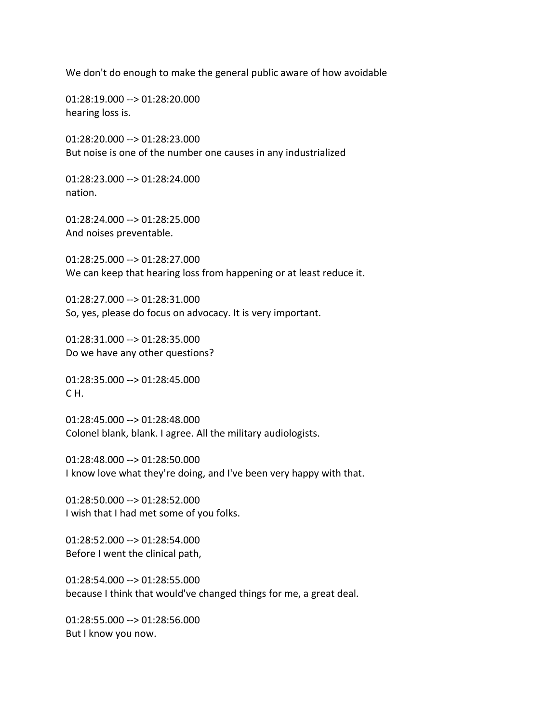We don't do enough to make the general public aware of how avoidable

01:28:19.000 --> 01:28:20.000 hearing loss is.

01:28:20.000 --> 01:28:23.000 But noise is one of the number one causes in any industrialized

01:28:23.000 --> 01:28:24.000 nation.

01:28:24.000 --> 01:28:25.000 And noises preventable.

01:28:25.000 --> 01:28:27.000 We can keep that hearing loss from happening or at least reduce it.

01:28:27.000 --> 01:28:31.000 So, yes, please do focus on advocacy. It is very important.

01:28:31.000 --> 01:28:35.000 Do we have any other questions?

01:28:35.000 --> 01:28:45.000 C H.

01:28:45.000 --> 01:28:48.000 Colonel blank, blank. I agree. All the military audiologists.

01:28:48.000 --> 01:28:50.000 I know love what they're doing, and I've been very happy with that.

01:28:50.000 --> 01:28:52.000 I wish that I had met some of you folks.

01:28:52.000 --> 01:28:54.000 Before I went the clinical path,

01:28:54.000 --> 01:28:55.000 because I think that would've changed things for me, a great deal.

01:28:55.000 --> 01:28:56.000 But I know you now.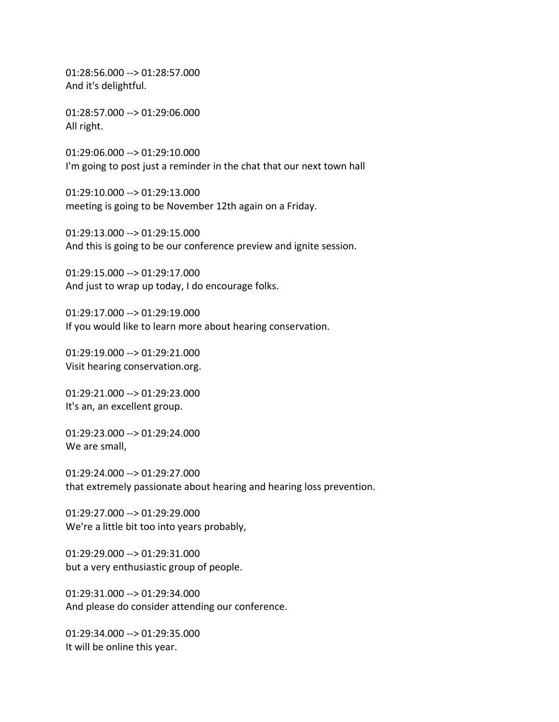01:28:56.000 --> 01:28:57.000 And it's delightful.

01:28:57.000 --> 01:29:06.000 All right.

01:29:06.000 --> 01:29:10.000 I'm going to post just a reminder in the chat that our next town hall

01:29:10.000 --> 01:29:13.000 meeting is going to be November 12th again on a Friday.

01:29:13.000 --> 01:29:15.000 And this is going to be our conference preview and ignite session.

01:29:15.000 --> 01:29:17.000 And just to wrap up today, I do encourage folks.

01:29:17.000 --> 01:29:19.000 If you would like to learn more about hearing conservation.

01:29:19.000 --> 01:29:21.000 Visit hearing conservation.org.

01:29:21.000 --> 01:29:23.000 It's an, an excellent group.

01:29:23.000 --> 01:29:24.000 We are small,

01:29:24.000 --> 01:29:27.000 that extremely passionate about hearing and hearing loss prevention.

01:29:27.000 --> 01:29:29.000 We're a little bit too into years probably,

01:29:29.000 --> 01:29:31.000 but a very enthusiastic group of people.

01:29:31.000 --> 01:29:34.000 And please do consider attending our conference.

 $01:29:34.000 \rightarrow 01:29:35.000$ It will be online this year.